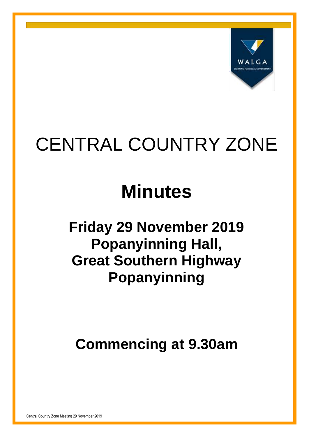

# CENTRAL COUNTRY ZONE

## **Minutes**

## **Friday 29 November 2019 Popanyinning Hall, Great Southern Highway Popanyinning**

## **Commencing at 9.30am**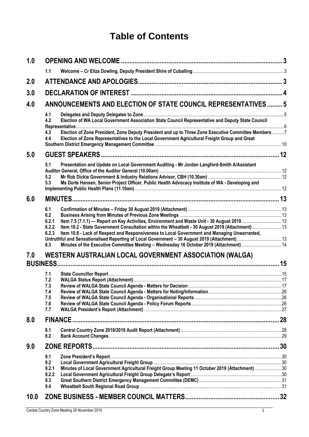## **Table of Contents**

| 1.0  |                                                                                                                                                                                                                     |  |  |
|------|---------------------------------------------------------------------------------------------------------------------------------------------------------------------------------------------------------------------|--|--|
|      | 1.1                                                                                                                                                                                                                 |  |  |
| 2.0  |                                                                                                                                                                                                                     |  |  |
| 3.0  |                                                                                                                                                                                                                     |  |  |
| 4.0  | ANNOUNCEMENTS AND ELECTION OF STATE COUNCIL REPRESENTATIVES  5                                                                                                                                                      |  |  |
|      | 4.1                                                                                                                                                                                                                 |  |  |
|      | Election of WA Local Government Association State Council Representative and Deputy State Council<br>4.2                                                                                                            |  |  |
|      | Election of Zone President, Zone Deputy President and up to Three Zone Executive Committee Members 7<br>4.3<br>Election of Zone Representatives to the Local Government Agricultural Freight Group and Great<br>4.4 |  |  |
| 5.0  |                                                                                                                                                                                                                     |  |  |
|      | Presentation and Update on Local Government Auditing - Mr Jordan Langford-Smith A/Assistant<br>5.1                                                                                                                  |  |  |
|      | 5.2                                                                                                                                                                                                                 |  |  |
|      | 5.3<br>Ms Dorte Hansen, Senior Project Officer, Public Health Advocacy Institute of WA - Developing and                                                                                                             |  |  |
| 6.0  |                                                                                                                                                                                                                     |  |  |
|      | 6.1                                                                                                                                                                                                                 |  |  |
|      | 6.2                                                                                                                                                                                                                 |  |  |
|      | 6.2.1                                                                                                                                                                                                               |  |  |
|      | Item 10.2 - State Government Consultation within the Wheatbelt - 30 August 2019 (Attachment)13<br>6.2.2                                                                                                             |  |  |
|      | 6.2.3<br>Item 10.6 - Lack of Respect and Responsiveness to Local Government and Managing Unwarranted,                                                                                                               |  |  |
|      | Minutes of the Executive Committee Meeting - Wednesday 16 October 2019 (Attachment)14<br>6.3                                                                                                                        |  |  |
|      |                                                                                                                                                                                                                     |  |  |
| 7.0  | <b>WESTERN AUSTRALIAN LOCAL GOVERNMENT ASSOCIATION (WALGA)</b><br><b>BUSINESS.</b>                                                                                                                                  |  |  |
|      | 7.1                                                                                                                                                                                                                 |  |  |
|      | 7.2                                                                                                                                                                                                                 |  |  |
|      | 7.3                                                                                                                                                                                                                 |  |  |
|      | 7.4                                                                                                                                                                                                                 |  |  |
|      | 7.5                                                                                                                                                                                                                 |  |  |
|      | 7.6<br>7.7                                                                                                                                                                                                          |  |  |
|      |                                                                                                                                                                                                                     |  |  |
| 0.8  | <b>FINANCE</b>                                                                                                                                                                                                      |  |  |
|      | 8.1                                                                                                                                                                                                                 |  |  |
|      | 8.2                                                                                                                                                                                                                 |  |  |
| 9.0  |                                                                                                                                                                                                                     |  |  |
|      | 9.1                                                                                                                                                                                                                 |  |  |
|      | 9.2                                                                                                                                                                                                                 |  |  |
|      | Minutes of Local Government Agricultural Freight Group Meeting 11 October 2019 (Attachment)30<br>9.2.1                                                                                                              |  |  |
|      | 9.2.2<br>9.3                                                                                                                                                                                                        |  |  |
|      | 9.4                                                                                                                                                                                                                 |  |  |
|      |                                                                                                                                                                                                                     |  |  |
| 10.0 |                                                                                                                                                                                                                     |  |  |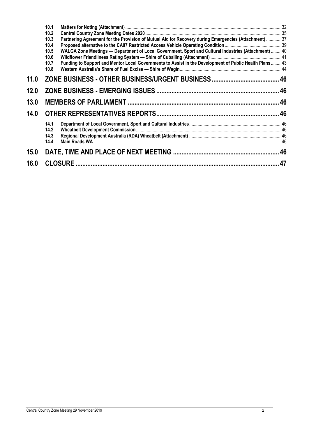|      | 10.1                                                                                                          |  |
|------|---------------------------------------------------------------------------------------------------------------|--|
|      | 10.2                                                                                                          |  |
|      | Partnering Agreement for the Provision of Mutual Aid for Recovery during Emergencies (Attachment) 37<br>10.3  |  |
|      | 10.4                                                                                                          |  |
|      | WALGA Zone Meetings — Department of Local Government, Sport and Cultural Industries (Attachment) 40<br>10.5   |  |
|      | 10.6                                                                                                          |  |
|      | Funding to Support and Mentor Local Governments to Assist in the Development of Public Health Plans43<br>10.7 |  |
|      | 10.8                                                                                                          |  |
| 11.0 |                                                                                                               |  |
| 12.0 |                                                                                                               |  |
| 13.0 |                                                                                                               |  |
| 14.0 |                                                                                                               |  |
|      | 14.1                                                                                                          |  |
|      | 14.2                                                                                                          |  |
|      | 14.3                                                                                                          |  |
|      | 14.4                                                                                                          |  |
| 15.0 |                                                                                                               |  |
| 16.0 |                                                                                                               |  |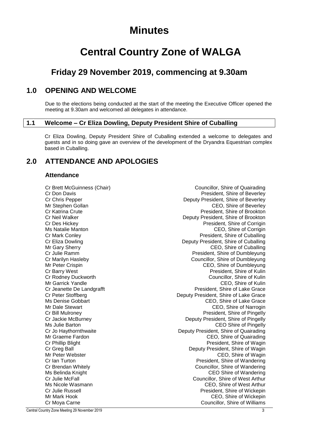## **Minutes**

## **Central Country Zone of WALGA**

## **Friday 29 November 2019, commencing at 9.30am**

## <span id="page-3-0"></span>**1.0 OPENING AND WELCOME**

Due to the elections being conducted at the start of the meeting the Executive Officer opened the meeting at 9.30am and welcomed all delegates in attendance.

#### <span id="page-3-1"></span>**1.1 Welcome – Cr Eliza Dowling, Deputy President Shire of Cuballing**

Cr Eliza Dowling, Deputy President Shire of Cuballing extended a welcome to delegates and guests and in so doing gave an overview of the development of the Dryandra Equestrian complex based in Cuballing.

## <span id="page-3-2"></span>**2.0 ATTENDANCE AND APOLOGIES**

#### **Attendance**

Cr Brett McGuinness (Chair) Councillor, Shire of Quairading Cr Don Davis President, Shire of Beverley Cr Chris Pepper Deputy President, Shire of Beverley Mr Stephen Gollan Ceology CEO, Shire of Beverley Cr Katrina Crute President, Shire of Brookton Cr Neil Walker Deputy President, Shire of Brookton Cr Des Hickey President, Shire of Corrigin Ms Natalie Manton CEO, Shire of Corrigin Cr Mark Conley<br>Cr Eliza Dowling President, Shire of Cuballing<br>Deputy President, Shire of Cuballing Deputy President, Shire of Cuballing Mr Gary Sherry **CEO**, Shire of Cuballing Cr Julie Ramm President, Shire of Dumbleyung Cr Marilyn Hasleby Councillor, Shire of Dumbleyung Mr Peter Crispin CEO, Shire of Dumbleyung Cr Barry West President, Shire of Kulin Councillor, Shire of Kulin Mr Garrick Yandle CEO, Shire of Kulin Cr Jeanette De Landgrafft<br>Cr Peter Stoffberg President, Shire of Lake Grace<br>Deputy President, Shire of Lake Grace Deputy President, Shire of Lake Grace Ms Denise Gobbart CEO, Shire of Lake Grace Mr Dale Stewart CEO, Shire of Narrogin CEO, Shire of Narrogin Cr Bill Mulroney President, Shire of Pingelly Cr Jackie McBurney Deputy President, Shire of Pingelly Ms Julie Barton CEO Shire of Pingelly<br>Cr Jo Haythornthwaite Cr Jo Haythornthwaite Cr Jo Haythornthwaite Deputy President, Shire of Quairading Mr Graeme Fardon CEO, Shire of Quairading Cr Phillip Blight **Cream Critic Cream Cream Cream President**, Shire of Wagin<br>Cr Grea Ball President, Shire of Wagin Cr Greg Ball Cr Greg Ball<br>Mr Peter Webster Network CEO, Shire of Wagin CEO, Shire of Wagin Cr Ian Turton President, Shire of Wandering Cr Brendan Whitely Councillor, Shire of Wandering Ms Belinda Knight CEO Shire of Wandering Cr Julie McFall Councillor, Shire of West Arthur Ms Nicole Wasmann CEO, Shire of West Arthur Cr Julie Russell **President**, Shire of Wickepin Mr Mark Hook **CEO**, Shire of Wickepin Cr Moya Carne Councillor, Shire of Williams

Central Country Zone Meeting 29 November 2019 3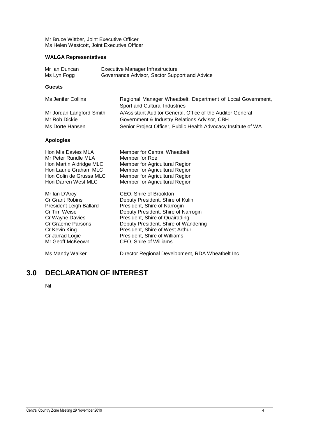Mr Bruce Wittber, Joint Executive Officer Ms Helen Westcott, Joint Executive Officer

#### **WALGA Representatives**

| Mr Ian Duncan | Executive Manager Infrastructure              |
|---------------|-----------------------------------------------|
| Ms Lyn Fogg   | Governance Advisor, Sector Support and Advice |

#### **Guests**

| Ms Jenifer Collins       | Regional Manager Wheatbelt, Department of Local Government,    |
|--------------------------|----------------------------------------------------------------|
|                          | Sport and Cultural Industries                                  |
| Mr Jordan Langford-Smith | A/Assistant Auditor General, Office of the Auditor General     |
| Mr Rob Dickie            | Government & Industry Relations Advisor, CBH                   |
| Ms Dorte Hansen          | Senior Project Officer, Public Health Advocacy Institute of WA |

#### **Apologies**

| Hon Mia Davies MLA             | Member for Central Wheatbelt                     |
|--------------------------------|--------------------------------------------------|
| Mr Peter Rundle MLA            | Member for Roe                                   |
| Hon Martin Aldridge MLC        | Member for Agricultural Region                   |
| Hon Laurie Graham MLC          | Member for Agricultural Region                   |
| Hon Colin de Grussa MLC        | Member for Agricultural Region                   |
| Hon Darren West MLC            | Member for Agricultural Region                   |
| Mr Ian D'Arcy                  | CEO, Shire of Brookton                           |
| <b>Cr Grant Robins</b>         | Deputy President, Shire of Kulin                 |
| <b>President Leigh Ballard</b> | President, Shire of Narrogin                     |
| Cr Tim Weise                   | Deputy President, Shire of Narrogin              |
| Cr Wayne Davies                | President, Shire of Quairading                   |
| Cr Graeme Parsons              | Deputy President, Shire of Wandering             |
| Cr Kevin King                  | President, Shire of West Arthur                  |
| Cr Jarrad Logie                | President, Shire of Williams                     |
| Mr Geoff McKeown               | CEO, Shire of Williams                           |
| Ms Mandy Walker                | Director Regional Development, RDA Wheatbelt Inc |

## <span id="page-4-0"></span>**3.0 DECLARATION OF INTEREST**

Nil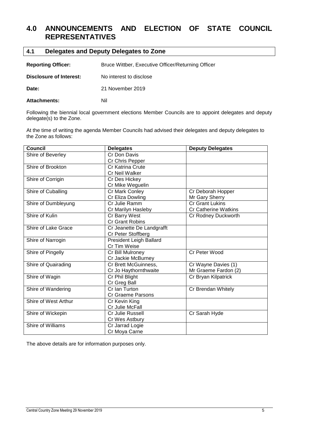## <span id="page-5-0"></span>**4.0 ANNOUNCEMENTS AND ELECTION OF STATE COUNCIL REPRESENTATIVES**

<span id="page-5-1"></span>

| Delegates and Deputy Delegates to Zone<br>4.1 |                                                    |  |
|-----------------------------------------------|----------------------------------------------------|--|
| <b>Reporting Officer:</b>                     | Bruce Wittber, Executive Officer/Returning Officer |  |
| Disclosure of Interest:                       | No interest to disclose                            |  |
| Date:                                         | 21 November 2019                                   |  |
| <b>Attachments:</b>                           | Nil                                                |  |

Following the biennial local government elections Member Councils are to appoint delegates and deputy delegate(s) to the Zone.

At the time of writing the agenda Member Councils had advised their delegates and deputy delegates to the Zone as follows:

| <b>Council</b>       | <b>Delegates</b>               | <b>Deputy Delegates</b>     |
|----------------------|--------------------------------|-----------------------------|
| Shire of Beverley    | Cr Don Davis                   |                             |
|                      | Cr Chris Pepper                |                             |
| Shire of Brookton    | Cr Katrina Crute               |                             |
|                      | Cr Neil Walker                 |                             |
| Shire of Corrigin    | Cr Des Hickey                  |                             |
|                      | Cr Mike Weguelin               |                             |
| Shire of Cuballing   | Cr Mark Conley                 | Cr Deborah Hopper           |
|                      | Cr Eliza Dowling               | Mr Gary Sherry              |
| Shire of Dumbleyung  | Cr Julie Ramm                  | <b>Cr Grant Lukins</b>      |
|                      | Cr Marilyn Hasleby             | <b>Cr Catherine Watkins</b> |
| Shire of Kulin       | Cr Barry West                  | Cr Rodney Duckworth         |
|                      | Cr Grant Robins                |                             |
| Shire of Lake Grace  | Cr Jeanette De Landgrafft      |                             |
|                      | Cr Peter Stoffberg             |                             |
| Shire of Narrogin    | <b>President Leigh Ballard</b> |                             |
|                      | Cr Tim Weise                   |                             |
| Shire of Pingelly    | Cr Bill Mulroney               | Cr Peter Wood               |
|                      | Cr Jackie McBurney             |                             |
| Shire of Quairading  | Cr Brett McGuinness,           | Cr Wayne Davies (1)         |
|                      | Cr Jo Haythornthwaite          | Mr Graeme Fardon (2)        |
| Shire of Wagin       | Cr Phil Blight                 | Cr Bryan Kilpatrick         |
|                      | Cr Greg Ball                   |                             |
| Shire of Wandering   | Cr Ian Turton                  | Cr Brendan Whitely          |
|                      | Cr Graeme Parsons              |                             |
| Shire of West Arthur | Cr Kevin King                  |                             |
|                      | Cr Julie McFall                |                             |
| Shire of Wickepin    | Cr Julie Russell               | Cr Sarah Hyde               |
|                      | Cr Wes Astbury                 |                             |
| Shire of Williams    | Cr Jarrad Logie                |                             |
|                      | Cr Moya Carne                  |                             |

The above details are for information purposes only.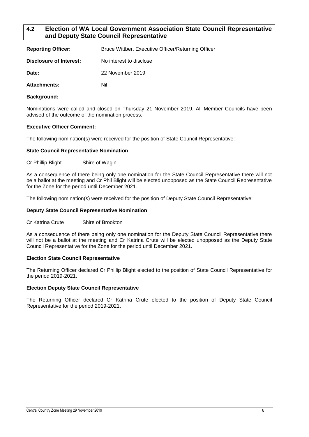#### <span id="page-6-0"></span>**4.2 Election of WA Local Government Association State Council Representative and Deputy State Council Representative**

| <b>Reporting Officer:</b> | Bruce Wittber, Executive Officer/Returning Officer |
|---------------------------|----------------------------------------------------|
| Disclosure of Interest:   | No interest to disclose                            |
| Date:                     | 22 November 2019                                   |
| <b>Attachments:</b>       | Nil                                                |

#### **Background:**

Nominations were called and closed on Thursday 21 November 2019. All Member Councils have been advised of the outcome of the nomination process.

#### **Executive Officer Comment:**

The following nomination(s) were received for the position of State Council Representative:

#### **State Council Representative Nomination**

Cr Phillip Blight Shire of Wagin

As a consequence of there being only one nomination for the State Council Representative there will not be a ballot at the meeting and Cr Phil Blight will be elected unopposed as the State Council Representative for the Zone for the period until December 2021.

The following nomination(s) were received for the position of Deputy State Council Representative:

#### **Deputy State Council Representative Nomination**

Cr Katrina Crute Shire of Brookton

As a consequence of there being only one nomination for the Deputy State Council Representative there will not be a ballot at the meeting and Cr Katrina Crute will be elected unopposed as the Deputy State Council Representative for the Zone for the period until December 2021.

#### **Election State Council Representative**

The Returning Officer declared Cr Phillip Blight elected to the position of State Council Representative for the period 2019-2021.

#### **Election Deputy State Council Representative**

The Returning Officer declared Cr Katrina Crute elected to the position of Deputy State Council Representative for the period 2019-2021.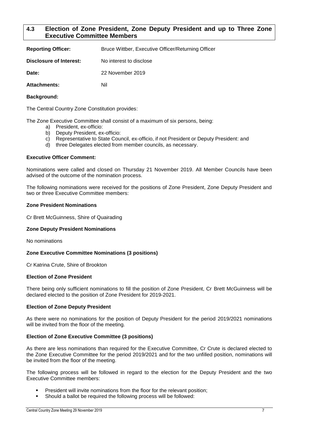#### <span id="page-7-0"></span>**4.3 Election of Zone President, Zone Deputy President and up to Three Zone Executive Committee Members**

| <b>Reporting Officer:</b> | Bruce Wittber, Executive Officer/Returning Officer |
|---------------------------|----------------------------------------------------|
| Disclosure of Interest:   | No interest to disclose                            |
| Date:                     | 22 November 2019                                   |
| Attachments:              | Nil                                                |

#### **Background:**

The Central Country Zone Constitution provides:

The Zone Executive Committee shall consist of a maximum of six persons, being:

- a) President, ex-officio:
- b) Deputy President, ex-officio:
- c) Representative to State Council, ex-officio, if not President or Deputy President: and
- d) three Delegates elected from member councils, as necessary.

#### **Executive Officer Comment:**

Nominations were called and closed on Thursday 21 November 2019. All Member Councils have been advised of the outcome of the nomination process.

The following nominations were received for the positions of Zone President, Zone Deputy President and two or three Executive Committee members:

#### **Zone President Nominations**

Cr Brett McGuinness, Shire of Quairading

#### **Zone Deputy President Nominations**

No nominations

#### **Zone Executive Committee Nominations (3 positions)**

Cr Katrina Crute, Shire of Brookton

#### **Election of Zone President**

There being only sufficient nominations to fill the position of Zone President, Cr Brett McGuinness will be declared elected to the position of Zone President for 2019-2021.

#### **Election of Zone Deputy President**

As there were no nominations for the position of Deputy President for the period 2019/2021 nominations will be invited from the floor of the meeting.

#### **Election of Zone Executive Committee (3 positions)**

As there are less nominations than required for the Executive Committee, Cr Crute is declared elected to the Zone Executive Committee for the period 2019/2021 and for the two unfilled position, nominations will be invited from the floor of the meeting.

The following process will be followed in regard to the election for the Deputy President and the two Executive Committee members:

- President will invite nominations from the floor for the relevant position;
- Should a ballot be required the following process will be followed: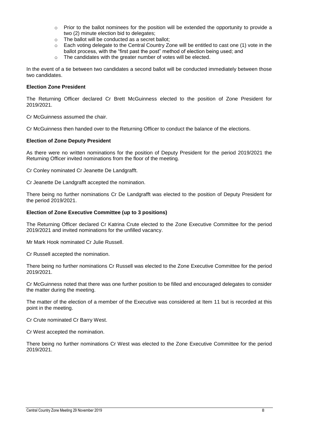- $\circ$  Prior to the ballot nominees for the position will be extended the opportunity to provide a two (2) minute election bid to delegates;
- o The ballot will be conducted as a secret ballot;
- $\circ$  Each voting delegate to the Central Country Zone will be entitled to cast one (1) vote in the ballot process, with the "first past the post" method of election being used; and
- o The candidates with the greater number of votes will be elected.

In the event of a tie between two candidates a second ballot will be conducted immediately between those two candidates.

#### **Election Zone President**

The Returning Officer declared Cr Brett McGuinness elected to the position of Zone President for 2019/2021.

Cr McGuinness assumed the chair.

Cr McGuinness then handed over to the Returning Officer to conduct the balance of the elections.

#### **Election of Zone Deputy President**

As there were no written nominations for the position of Deputy President for the period 2019/2021 the Returning Officer invited nominations from the floor of the meeting.

Cr Conley nominated Cr Jeanette De Landgrafft.

Cr Jeanette De Landgrafft accepted the nomination.

There being no further nominations Cr De Landgrafft was elected to the position of Deputy President for the period 2019/2021.

#### **Election of Zone Executive Committee (up to 3 positions)**

The Returning Officer declared Cr Katrina Crute elected to the Zone Executive Committee for the period 2019/2021 and invited nominations for the unfilled vacancy.

Mr Mark Hook nominated Cr Julie Russell.

Cr Russell accepted the nomination.

There being no further nominations Cr Russell was elected to the Zone Executive Committee for the period 2019/2021.

Cr McGuinness noted that there was one further position to be filled and encouraged delegates to consider the matter during the meeting.

The matter of the election of a member of the Executive was considered at Item 11 but is recorded at this point in the meeting.

Cr Crute nominated Cr Barry West.

Cr West accepted the nomination.

There being no further nominations Cr West was elected to the Zone Executive Committee for the period 2019/2021.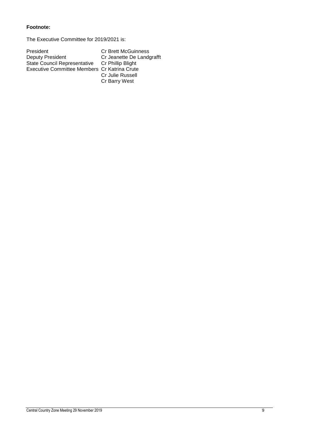#### **Footnote:**

The Executive Committee for 2019/2021 is:

| President                                      | <b>Cr Brett McGuinness</b> |
|------------------------------------------------|----------------------------|
| Deputy President                               | Cr Jeanette De Landgrafft  |
| State Council Representative Cr Phillip Blight |                            |
| Executive Committee Members Cr Katrina Crute   |                            |
|                                                | Cr Julie Russell           |

Cr Barry West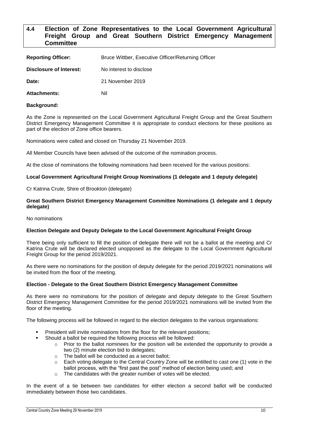#### <span id="page-10-0"></span>**4.4 Election of Zone Representatives to the Local Government Agricultural Freight Group and Great Southern District Emergency Management Committee**

| <b>Reporting Officer:</b> | Bruce Wittber, Executive Officer/Returning Officer |
|---------------------------|----------------------------------------------------|
| Disclosure of Interest:   | No interest to disclose                            |
| Date:                     | 21 November 2019                                   |
| <b>Attachments:</b>       | Nil                                                |

#### **Background:**

As the Zone is represented on the Local Government Agricultural Freight Group and the Great Southern District Emergency Management Committee it is appropriate to conduct elections for these positions as part of the election of Zone office bearers.

Nominations were called and closed on Thursday 21 November 2019.

All Member Councils have been advised of the outcome of the nomination process.

At the close of nominations the following nominations had been received for the various positions:

#### **Local Government Agricultural Freight Group Nominations (1 delegate and 1 deputy delegate)**

Cr Katrina Crute, Shire of Brookton (delegate)

#### **Great Southern District Emergency Management Committee Nominations (1 delegate and 1 deputy delegate)**

No nominations

#### **Election Delegate and Deputy Delegate to the Local Government Agricultural Freight Group**

There being only sufficient to fill the position of delegate there will not be a ballot at the meeting and Cr Katrina Crute will be declared elected unopposed as the delegate to the Local Government Agricultural Freight Group for the period 2019/2021.

As there were no nominations for the position of deputy delegate for the period 2019/2021 nominations will be invited from the floor of the meeting.

#### **Election - Delegate to the Great Southern District Emergency Management Committee**

As there were no nominations for the position of delegate and deputy delegate to the Great Southern District Emergency Management Committee for the period 2019/2021 nominations will be invited from the floor of the meeting.

The following process will be followed in regard to the election delegates to the various organisations:

- President will invite nominations from the floor for the relevant positions;
	- Should a ballot be required the following process will be followed:
		- $\circ$  Prior to the ballot nominees for the position will be extended the opportunity to provide a two (2) minute election bid to delegates;
		- o The ballot will be conducted as a secret ballot;
		- $\circ$  Each voting delegate to the Central Country Zone will be entitled to cast one (1) vote in the ballot process, with the "first past the post" method of election being used; and
		- o The candidates with the greater number of votes will be elected.

In the event of a tie between two candidates for either election a second ballot will be conducted immediately between those two candidates.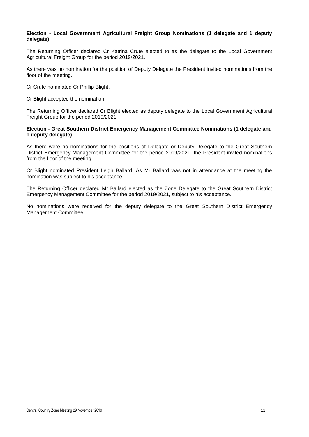#### **Election - Local Government Agricultural Freight Group Nominations (1 delegate and 1 deputy delegate)**

The Returning Officer declared Cr Katrina Crute elected to as the delegate to the Local Government Agricultural Freight Group for the period 2019/2021.

As there was no nomination for the position of Deputy Delegate the President invited nominations from the floor of the meeting.

Cr Crute nominated Cr Phillip Blight.

Cr Blight accepted the nomination.

The Returning Officer declared Cr Blight elected as deputy delegate to the Local Government Agricultural Freight Group for the period 2019/2021.

#### **Election - Great Southern District Emergency Management Committee Nominations (1 delegate and 1 deputy delegate)**

As there were no nominations for the positions of Delegate or Deputy Delegate to the Great Southern District Emergency Management Committee for the period 2019/2021, the President invited nominations from the floor of the meeting.

Cr Blight nominated President Leigh Ballard. As Mr Ballard was not in attendance at the meeting the nomination was subject to his acceptance.

The Returning Officer declared Mr Ballard elected as the Zone Delegate to the Great Southern District Emergency Management Committee for the period 2019/2021, subject to his acceptance.

No nominations were received for the deputy delegate to the Great Southern District Emergency Management Committee.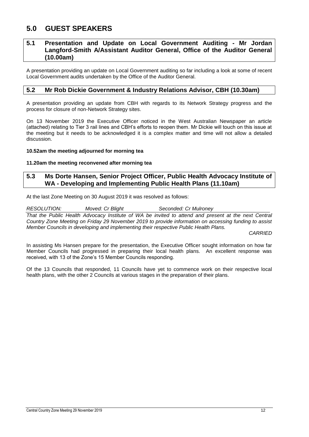## <span id="page-12-0"></span>**5.0 GUEST SPEAKERS**

#### <span id="page-12-1"></span>**5.1 Presentation and Update on Local Government Auditing - Mr Jordan Langford-Smith A/Assistant Auditor General, Office of the Auditor General (10.00am)**

A presentation providing an update on Local Government auditing so far including a look at some of recent Local Government audits undertaken by the Office of the Auditor General.

#### <span id="page-12-2"></span>**5.2 Mr Rob Dickie Government & Industry Relations Advisor, CBH (10.30am)**

A presentation providing an update from CBH with regards to its Network Strategy progress and the process for closure of non-Network Strategy sites.

On 13 November 2019 the Executive Officer noticed in the West Australian Newspaper an article (attached) relating to Tier 3 rail lines and CBH's efforts to reopen them. Mr Dickie will touch on this issue at the meeting but it needs to be acknowledged it is a complex matter and time will not allow a detailed discussion.

#### **10.52am the meeting adjourned for morning tea**

#### **11.20am the meeting reconvened after morning tea**

#### <span id="page-12-3"></span>**5.3 Ms Dorte Hansen, Senior Project Officer, Public Health Advocacy Institute of WA - Developing and Implementing Public Health Plans (11.10am)**

At the last Zone Meeting on 30 August 2019 it was resolved as follows:

*RESOLUTION: Moved: Cr Blight Seconded: Cr Mulroney That the Public Health Advocacy Institute of WA be invited to attend and present at the next Central Country Zone Meeting on Friday 29 November 2019 to provide information on accessing funding to assist Member Councils in developing and implementing their respective Public Health Plans.*

*CARRIED*

In assisting Ms Hansen prepare for the presentation, the Executive Officer sought information on how far Member Councils had progressed in preparing their local health plans. An excellent response was received, with 13 of the Zone's 15 Member Councils responding.

Of the 13 Councils that responded, 11 Councils have yet to commence work on their respective local health plans, with the other 2 Councils at various stages in the preparation of their plans.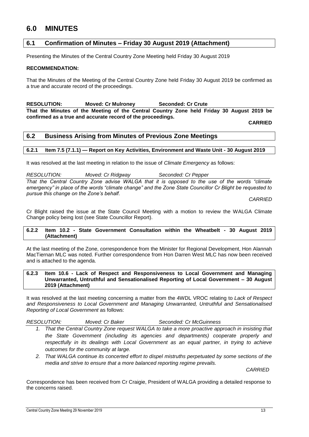## <span id="page-13-0"></span>**6.0 MINUTES**

#### <span id="page-13-1"></span>**6.1 Confirmation of Minutes – Friday 30 August 2019 (Attachment)**

Presenting the Minutes of the Central Country Zone Meeting held Friday 30 August 2019

#### **RECOMMENDATION:**

That the Minutes of the Meeting of the Central Country Zone held Friday 30 August 2019 be confirmed as a true and accurate record of the proceedings.

**RESOLUTION: Moved: Cr Mulroney Seconded: Cr Crute That the Minutes of the Meeting of the Central Country Zone held Friday 30 August 2019 be confirmed as a true and accurate record of the proceedings.**

**CARRIED**

#### <span id="page-13-2"></span>**6.2 Business Arising from Minutes of Previous Zone Meetings**

#### <span id="page-13-3"></span>**6.2.1 Item 7.5 (7.1.1) — Report on Key Activities, Environment and Waste Unit - 30 August 2019**

It was resolved at the last meeting in relation to the issue of *Climate Emergency* as follows:

*RESOLUTION: Moved: Cr Ridgway Seconded: Cr Pepper That the Central Country Zone advise WALGA that it is opposed to the use of the words "climate emergency" in place of the words "climate change" and the Zone State Councillor Cr Blight be requested to pursue this change on the Zone's behalf.*

*CARRIED*

Cr Blight raised the issue at the State Council Meeting with a motion to review the WALGA Climate Change policy being lost (see State Councillor Report).

#### <span id="page-13-4"></span>**6.2.2 Item 10.2 - State Government Consultation within the Wheatbelt - 30 August 2019 (Attachment)**

At the last meeting of the Zone, correspondence from the Minister for Regional Development, Hon Alannah MacTiernan MLC was noted. Further correspondence from Hon Darren West MLC has now been received and is attached to the agenda.

#### <span id="page-13-5"></span>**6.2.3 Item 10.6 - Lack of Respect and Responsiveness to Local Government and Managing Unwarranted, Untruthful and Sensationalised Reporting of Local Government – 30 August 2019 (Attachment)**

It was resolved at the last meeting concerning a matter from the 4WDL VROC relating to *Lack of Respect and Responsiveness to Local Government and Managing Unwarranted, Untruthful and Sensationalised Reporting of Local Government* as follows:

*RESOLUTION: Moved: Cr Baker Seconded: Cr McGuinness*

- *1. That the Central Country Zone request WALGA to take a more proactive approach in insisting that the State Government (including its agencies and departments) cooperate properly and*  respectfully in its dealings with Local Government as an equal partner, in trying to achieve *outcomes for the community at large.*
- *2. That WALGA continue its concerted effort to dispel mistruths perpetuated by some sections of the media and strive to ensure that a more balanced reporting regime prevails.*

*CARRIED*

Correspondence has been received from Cr Craigie, President of WALGA providing a detailed response to the concerns raised.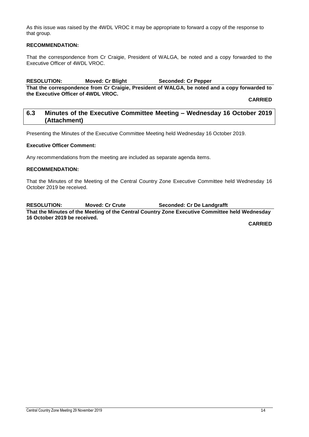As this issue was raised by the 4WDL VROC it may be appropriate to forward a copy of the response to that group.

#### **RECOMMENDATION:**

That the correspondence from Cr Craigie, President of WALGA, be noted and a copy forwarded to the Executive Officer of 4WDL VROC.

### **RESOLUTION: Moved: Cr Blight Seconded: Cr Pepper**

**That the correspondence from Cr Craigie, President of WALGA, be noted and a copy forwarded to the Executive Officer of 4WDL VROC.**

**CARRIED**

#### <span id="page-14-0"></span>**6.3 Minutes of the Executive Committee Meeting – Wednesday 16 October 2019 (Attachment)**

Presenting the Minutes of the Executive Committee Meeting held Wednesday 16 October 2019.

#### **Executive Officer Comment:**

Any recommendations from the meeting are included as separate agenda items.

#### **RECOMMENDATION:**

That the Minutes of the Meeting of the Central Country Zone Executive Committee held Wednesday 16 October 2019 be received.

**RESOLUTION: Moved: Cr Crute Seconded: Cr De Landgrafft That the Minutes of the Meeting of the Central Country Zone Executive Committee held Wednesday 16 October 2019 be received.**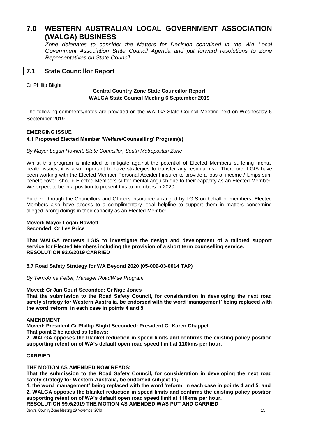## <span id="page-15-0"></span>**7.0 WESTERN AUSTRALIAN LOCAL GOVERNMENT ASSOCIATION (WALGA) BUSINESS**

*Zone delegates to consider the Matters for Decision contained in the WA Local Government Association State Council Agenda and put forward resolutions to Zone Representatives on State Council*

#### <span id="page-15-1"></span>**7.1 State Councillor Report**

Cr Phillip Blight

#### **Central Country Zone State Councillor Report WALGA State Council Meeting 6 September 2019**

The following comments/notes are provided on the WALGA State Council Meeting held on Wednesday 6 September 2019

#### **EMERGING ISSUE**

#### **4.1 Proposed Elected Member 'Welfare/Counselling' Program(s)**

#### *By Mayor Logan Howlett, State Councillor, South Metropolitan Zone*

Whilst this program is intended to mitigate against the potential of Elected Members suffering mental health issues, it is also important to have strategies to transfer any residual risk. Therefore, LGIS have been working with the Elected Member Personal Accident insurer to provide a loss of income / lumps sum benefit cover, should Elected Members suffer mental anguish due to their capacity as an Elected Member. We expect to be in a position to present this to members in 2020.

Further, through the Councillors and Officers insurance arranged by LGIS on behalf of members, Elected Members also have access to a complimentary legal helpline to support them in matters concerning alleged wrong doings in their capacity as an Elected Member.

#### **Moved: Mayor Logan Howlett Seconded: Cr Les Price**

**That WALGA requests LGIS to investigate the design and development of a tailored support service for Elected Members including the provision of a short term counselling service. RESOLUTION 92.6/2019 CARRIED**

**5.7 Road Safety Strategy for WA Beyond 2020 (05-009-03-0014 TAP)** 

#### *By Terri-Anne Pettet, Manager RoadWise Program*

**Moved: Cr Jan Court Seconded: Cr Nige Jones That the submission to the Road Safety Council, for consideration in developing the next road safety strategy for Western Australia, be endorsed with the word 'management' being replaced with the word 'reform' in each case in points 4 and 5.** 

#### **AMENDMENT**

**Moved: President Cr Phillip Blight Seconded: President Cr Karen Chappel** 

**That point 2 be added as follows:** 

**2. WALGA opposes the blanket reduction in speed limits and confirms the existing policy position supporting retention of WA's default open road speed limit at 110kms per hour.** 

#### **CARRIED**

#### **THE MOTION AS AMENDED NOW READS:**

**That the submission to the Road Safety Council, for consideration in developing the next road safety strategy for Western Australia, be endorsed subject to;** 

**1. the word 'management' being replaced with the word 'reform' in each case in points 4 and 5; and 2. WALGA opposes the blanket reduction in speed limits and confirms the existing policy position supporting retention of WA's default open road speed limit at 110kms per hour.** 

**RESOLUTION 99.6/2019 THE MOTION AS AMENDED WAS PUT AND CARRIED**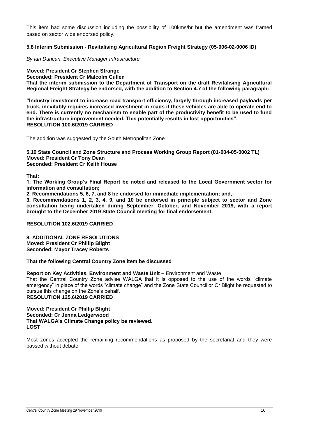This item had some discussion including the possibility of 100kms/hr but the amendment was framed based on sector wide endorsed policy.

#### **5.8 Interim Submission - Revitalising Agricultural Region Freight Strategy (05-006-02-0006 ID)**

*By Ian Duncan, Executive Manager Infrastructure* 

**Moved: President Cr Stephen Strange** 

**Seconded: President Cr Malcolm Cullen** 

**That the interim submission to the Department of Transport on the draft Revitalising Agricultural Regional Freight Strategy be endorsed, with the addition to Section 4.7 of the following paragraph:** 

**"Industry investment to increase road transport efficiency, largely through increased payloads per truck, inevitably requires increased investment in roads if these vehicles are able to operate end to end. There is currently no mechanism to enable part of the productivity benefit to be used to fund the infrastructure improvement needed. This potentially results in lost opportunities". RESOLUTION 100.6/2019 CARRIED**

The addition was suggested by the South Metropolitan Zone

**5.10 State Council and Zone Structure and Process Working Group Report (01-004-05-0002 TL) Moved: President Cr Tony Dean Seconded: President Cr Keith House** 

**That:** 

**1. The Working Group's Final Report be noted and released to the Local Government sector for information and consultation;** 

**2. Recommendations 5, 6, 7, and 8 be endorsed for immediate implementation; and,** 

**3. Recommendations 1, 2, 3, 4, 9, and 10 be endorsed in principle subject to sector and Zone consultation being undertaken during September, October, and November 2019, with a report brought to the December 2019 State Council meeting for final endorsement.** 

#### **RESOLUTION 102.6/2019 CARRIED**

**8. ADDITIONAL ZONE RESOLUTIONS Moved: President Cr Phillip Blight Seconded: Mayor Tracey Roberts** 

**That the following Central Country Zone item be discussed** 

#### **Report on Key Activities, Environment and Waste Unit –** Environment and Waste

That the Central Country Zone advise WALGA that it is opposed to the use of the words "climate emergency" in place of the words "climate change" and the Zone State Councillor Cr Blight be requested to pursue this change on the Zone's behalf.

**RESOLUTION 125.6/2019 CARRIED** 

**Moved: President Cr Phillip Blight Seconded: Cr Jenna Ledgerwood That WALGA's Climate Change policy be reviewed. LOST**

Most zones accepted the remaining recommendations as proposed by the secretariat and they were passed without debate.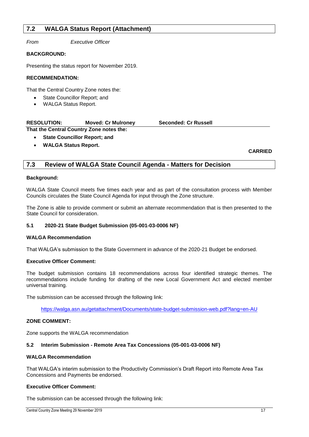### <span id="page-17-0"></span>**7.2 WALGA Status Report (Attachment)**

*From Executive Officer*

#### **BACKGROUND:**

Presenting the status report for November 2019.

#### **RECOMMENDATION:**

That the Central Country Zone notes the:

- State Councillor Report; and
- WALGA Status Report.

| <b>RESOLUTION:</b>                       | <b>Moved: Cr Mulroney</b> | <b>Seconded: Cr Russell</b> |  |
|------------------------------------------|---------------------------|-----------------------------|--|
| That the Central Country Zone notes the: |                           |                             |  |

**State Councillor Report; and**

**WALGA Status Report.**

**CARRIED**

#### <span id="page-17-1"></span>**7.3 Review of WALGA State Council Agenda - Matters for Decision**

#### **Background:**

WALGA State Council meets five times each year and as part of the consultation process with Member Councils circulates the State Council Agenda for input through the Zone structure.

The Zone is able to provide comment or submit an alternate recommendation that is then presented to the State Council for consideration.

#### **5.1 2020-21 State Budget Submission (05-001-03-0006 NF)**

#### **WALGA Recommendation**

That WALGA's submission to the State Government in advance of the 2020-21 Budget be endorsed.

#### **Executive Officer Comment:**

The budget submission contains 18 recommendations across four identified strategic themes. The recommendations include funding for drafting of the new Local Government Act and elected member universal training.

The submission can be accessed through the following link:

<https://walga.asn.au/getattachment/Documents/state-budget-submission-web.pdf?lang=en-AU>

#### **ZONE COMMENT:**

Zone supports the WALGA recommendation

#### **5.2 Interim Submission - Remote Area Tax Concessions (05-001-03-0006 NF)**

#### **WALGA Recommendation**

That WALGA's interim submission to the Productivity Commission's Draft Report into Remote Area Tax Concessions and Payments be endorsed.

#### **Executive Officer Comment:**

The submission can be accessed through the following link: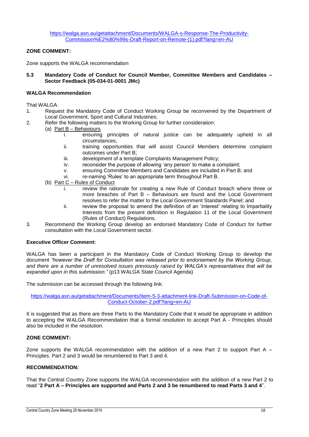#### **ZONE COMMENT:**

Zone supports the WALGA recommendation

**5.3 Mandatory Code of Conduct for Council Member, Committee Members and Candidates – Sector Feedback (05-034-01-0001 JMc)**

#### **WALGA Recommendation**

That WALGA:

- 1. Request the Mandatory Code of Conduct Working Group be reconvened by the Department of Local Government, Sport and Cultural Industries;
- 2. Refer the following matters to the Working Group for further consideration:
	- (a) Part B Behaviours
		- i. ensuring principles of natural justice can be adequately upheld in all circumstances;
		- ii. training opportunities that will assist Council Members determine complaint outcomes under Part B;
		- iii. development of a template Complaints Management Policy;
		- iv. reconsider the purpose of allowing 'any person' to make a complaint;
		- v. ensuring Committee Members and Candidates are included in Part B; and
		- vi. re-naming 'Rules' to an appropriate term throughout Part B.
	- (b) Part C Rules of Conduct
		- i. review the rationale for creating a new Rule of Conduct breach where three or more breaches of Part B – Behaviours are found and the Local Government resolves to refer the matter to the Local Government Standards Panel; and
		- ii. review the proposal to amend the definition of an 'interest' relating to Impartiality Interests from the present definition in Regulation 11 of the Local Government (Rules of Conduct) Regulations.
- 3. Recommend the Working Group develop an endorsed Mandatory Code of Conduct for further consultation with the Local Government sector.

#### **Executive Officer Comment:**

WALGA has been a participant in the Mandatory Code of Conduct Working Group to develop the document *"however the Draft for Consultation was released prior to endorsement by the Working Group, and there are a number of unresolved issues previously raised by WALGA's representatives that will be expanded upon in this submission."* (p13 WALGA State Council Agenda)

The submission can be accessed through the following link:

[https://walga.asn.au/getattachment/Documents/Item-5-3-attachment-link-Draft-Submission-on-Code-of-](https://walga.asn.au/getattachment/Documents/Item-5-3-attachment-link-Draft-Submission-on-Code-of-Conduct-October-2.pdf?lang=en-AU)[Conduct-October-2.pdf?lang=en-AU](https://walga.asn.au/getattachment/Documents/Item-5-3-attachment-link-Draft-Submission-on-Code-of-Conduct-October-2.pdf?lang=en-AU)

It is suggested that as there are three Parts to the Mandatory Code that it would be appropriate in addition to accepting the WALGA Recommendation that a formal resolution to accept Part A - Principles should also be included in the resolution.

#### **ZONE COMMENT:**

Zone supports the WALGA recommendation with the addition of a new Part 2 to support Part A  $-$ Principles. Part 2 and 3 would be renumbered to Part 3 and 4.

#### **RECOMMENDATION:**

That the Central Country Zone supports the WALGA recommendation with the addition of a new Part 2 to read "**2 Part A – Principles are supported and Parts 2 and 3 be renumbered to read Parts 3 and 4**".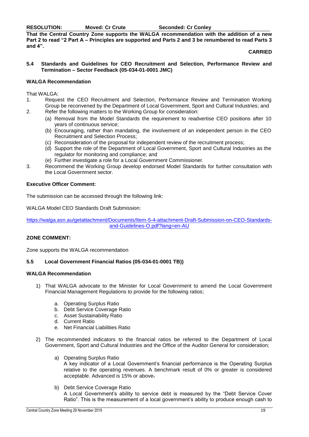**RESOLUTION: Moved: Cr Crute Seconded: Cr Conley**

**That the Central Country Zone supports the WALGA recommendation with the addition of a new Part 2 to read "2 Part A – Principles are supported and Parts 2 and 3 be renumbered to read Parts 3 and 4".**

#### **CARRIED**

**5.4 Standards and Guidelines for CEO Recruitment and Selection, Performance Review and Termination – Sector Feedback (05-034-01-0001 JMC)**

#### **WALGA Recommendation**

That WALGA:

- 1. Request the CEO Recruitment and Selection, Performance Review and Termination Working Group be reconvened by the Department of Local Government, Sport and Cultural Industries; and
- 2. Refer the following matters to the Working Group for consideration:
	- (a) Removal from the Model Standards the requirement to readvertise CEO positions after 10 years of continuous service;
	- (b) Encouraging, rather than mandating, the involvement of an independent person in the CEO Recruitment and Selection Process;
	- (c) Reconsideration of the proposal for independent review of the recruitment process;
	- (d) Support the role of the Department of Local Government, Sport and Cultural Industries as the regulator for monitoring and compliance; and
	- (e) Further investigate a role for a Local Government Commissioner.
- 3. Recommend the Working Group develop endorsed Model Standards for further consultation with the Local Government sector.

#### **Executive Officer Comment:**

The submission can be accessed through the following link:

WALGA Model CEO Standards Draft Submission:

[https://walga.asn.au/getattachment/Documents/Item-5-4-attachment-Draft-Submission-on-CEO-Standards](https://walga.asn.au/getattachment/Documents/Item-5-4-attachment-Draft-Submission-on-CEO-Standards-and-Guidelines-O.pdf?lang=en-AU)[and-Guidelines-O.pdf?lang=en-AU](https://walga.asn.au/getattachment/Documents/Item-5-4-attachment-Draft-Submission-on-CEO-Standards-and-Guidelines-O.pdf?lang=en-AU)

#### **ZONE COMMENT:**

Zone supports the WALGA recommendation

#### **5.5 Local Government Financial Ratios (05-034-01-0001 TB))**

#### **WALGA Recommendation**

- 1) That WALGA advocate to the Minister for Local Government to amend the Local Government Financial Management Regulations to provide for the following ratios;
	- a. Operating Surplus Ratio
	- b. Debt Service Coverage Ratio
	- c. Asset Sustainability Ratio
	- d. Current Ratio
	- e. Net Financial Liabilities Ratio
- 2) The recommended indicators to the financial ratios be referred to the Department of Local Government, Sport and Cultural Industries and the Office of the Auditor General for consideration;
	- a) Operating Surplus Ratio

A key indicator of a Local Government's financial performance is the Operating Surplus relative to the operating revenues. A benchmark result of 0% or greater is considered acceptable. Advanced is 15% or above.

b) Debt Service Coverage Ratio A Local Government's ability to service debt is measured by the "Debt Service Cover Ratio". This is the measurement of a local government's ability to produce enough cash to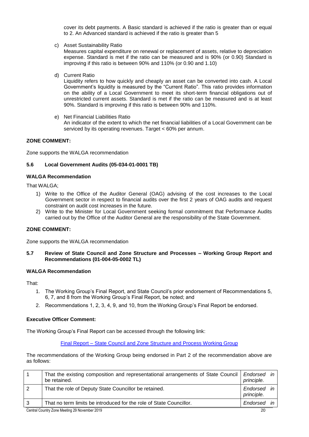cover its debt payments. A Basic standard is achieved if the ratio is greater than or equal to 2. An Advanced standard is achieved if the ratio is greater than 5

c) Asset Sustainability Ratio

Measures capital expenditure on renewal or replacement of assets, relative to depreciation expense. Standard is met if the ratio can be measured and is 90% (or 0.90) Standard is improving if this ratio is between 90% and 110% (or 0.90 and 1.10)

d) Current Ratio

Liquidity refers to how quickly and cheaply an asset can be converted into cash. A Local Government's liquidity is measured by the "Current Ratio". This ratio provides information on the ability of a Local Government to meet its short-term financial obligations out of unrestricted current assets. Standard is met if the ratio can be measured and is at least 90%. Standard is improving if this ratio is between 90% and 110%.

e) Net Financial Liabilities Ratio An indicator of the extent to which the net financial liabilities of a Local Government can be serviced by its operating revenues. Target < 60% per annum.

#### **ZONE COMMENT:**

Zone supports the WALGA recommendation

#### **5.6 Local Government Audits (05-034-01-0001 TB)**

#### **WALGA Recommendation**

That WAI GA:

- 1) Write to the Office of the Auditor General (OAG) advising of the cost increases to the Local Government sector in respect to financial audits over the first 2 years of OAG audits and request constraint on audit cost increases in the future.
- 2) Write to the Minister for Local Government seeking formal commitment that Performance Audits carried out by the Office of the Auditor General are the responsibility of the State Government.

#### **ZONE COMMENT:**

Zone supports the WALGA recommendation

**5.7 Review of State Council and Zone Structure and Processes – Working Group Report and Recommendations (01-004-05-0002 TL)**

#### **WALGA Recommendation**

That:

- 1. The Working Group's Final Report, and State Council's prior endorsement of Recommendations 5, 6, 7, and 8 from the Working Group's Final Report, be noted; and
- 2. Recommendations 1, 2, 3, 4, 9, and 10, from the Working Group's Final Report be endorsed.

#### **Executive Officer Comment:**

The Working Group's Final Report can be accessed through the following link:

Final Report – [State Council and Zone Structure and Process Working](https://asn.us3.list-manage.com/track/click?u=deaf6c84b27d6ba4ab394cdf0&id=4e1112929c&e=97955f23ff) Group

The recommendations of the Working Group being endorsed in Part 2 of the recommendation above are as follows:

|   | That the existing composition and representational arrangements of State Council<br>be retained. | Endorsed in<br>principle. |    |
|---|--------------------------------------------------------------------------------------------------|---------------------------|----|
|   | That the role of Deputy State Councillor be retained.                                            | Endorsed<br>principle.    | in |
| 3 | That no term limits be introduced for the role of State Councillor.                              | Endorsed                  |    |
|   | Central Country Zone Meeting 29 November 2019                                                    | 20                        |    |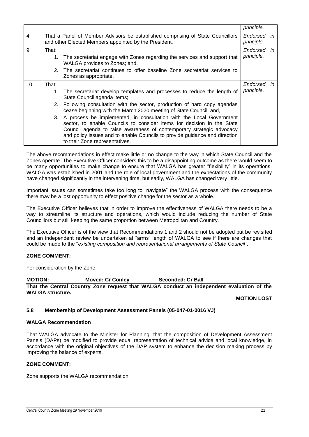|    |       |                                                                                                                                                                                                                                                                                                                                                                                                                                                                                                                                                                                                           | principle.                       |    |
|----|-------|-----------------------------------------------------------------------------------------------------------------------------------------------------------------------------------------------------------------------------------------------------------------------------------------------------------------------------------------------------------------------------------------------------------------------------------------------------------------------------------------------------------------------------------------------------------------------------------------------------------|----------------------------------|----|
| 4  |       | That a Panel of Member Advisors be established comprising of State Councillors<br>and other Elected Members appointed by the President.                                                                                                                                                                                                                                                                                                                                                                                                                                                                   | Endorsed in<br><i>principle.</i> |    |
| 9  | That: | 1. The secretariat engage with Zones regarding the services and support that<br>WALGA provides to Zones; and,<br>2. The secretariat continues to offer baseline Zone secretariat services to<br>Zones as appropriate.                                                                                                                                                                                                                                                                                                                                                                                     | Endorsed in<br>principle.        |    |
| 10 | That: | 1. The secretariat develop templates and processes to reduce the length of<br>State Council agenda items;<br>2. Following consultation with the sector, production of hard copy agendas<br>cease beginning with the March 2020 meeting of State Council; and,<br>3. A process be implemented, in consultation with the Local Government<br>sector, to enable Councils to consider items for decision in the State<br>Council agenda to raise awareness of contemporary strategic advocacy<br>and policy issues and to enable Councils to provide guidance and direction<br>to their Zone representatives. | Endorsed<br>principle.           | in |

The above recommendations in effect make little or no change to the way in which State Council and the Zones operate. The Executive Officer considers this to be a disappointing outcome as there would seem to be many opportunities to make change to ensure that WALGA has greater "flexibility" in its operations. WALGA was established in 2001 and the role of local government and the expectations of the community have changed significantly in the intervening time, but sadly, WALGA has changed very little.

Important issues can sometimes take too long to "navigate" the WALGA process with the consequence there may be a lost opportunity to effect positive change for the sector as a whole.

The Executive Officer believes that in order to improve the effectiveness of WALGA there needs to be a way to streamline its structure and operations, which would include reducing the number of State Councillors but still keeping the same proportion between Metropolitan and Country.

The Executive Officer is of the view that Recommendations 1 and 2 should not be adopted but be revisited and an independent review be undertaken at "arms" length of WALGA to see if there are changes that could be made to the "*existing composition and representational arrangements of State Council"*.

#### **ZONE COMMENT:**

For consideration by the Zone.

**MOTION: Moved: Cr Conley Seconded: Cr Ball That the Central Country Zone request that WALGA conduct an independent evaluation of the WALGA structure.**

**MOTION LOST** 

#### **5.8 Membership of Development Assessment Panels (05-047-01-0016 VJ)**

#### **WALGA Recommendation**

That WALGA advocate to the Minister for Planning, that the composition of Development Assessment Panels (DAPs) be modified to provide equal representation of technical advice and local knowledge, in accordance with the original objectives of the DAP system to enhance the decision making process by improving the balance of experts.

#### **ZONE COMMENT:**

Zone supports the WALGA recommendation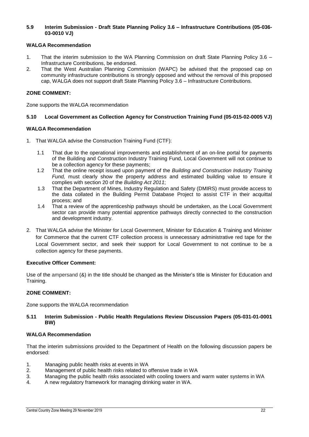#### **5.9 Interim Submission - Draft State Planning Policy 3.6 – Infrastructure Contributions (05-036- 03-0010 VJ)**

#### **WALGA Recommendation**

- 1. That the interim submission to the WA Planning Commission on draft State Planning Policy 3.6 Infrastructure Contributions, be endorsed.
- 2. That the West Australian Planning Commission (WAPC) be advised that the proposed cap on community infrastructure contributions is strongly opposed and without the removal of this proposed cap, WALGA does not support draft State Planning Policy 3.6 – Infrastructure Contributions.

#### **ZONE COMMENT:**

Zone supports the WALGA recommendation

#### **5.10 Local Government as Collection Agency for Construction Training Fund (05-015-02-0005 VJ)**

#### **WALGA Recommendation**

- 1. That WALGA advise the Construction Training Fund (CTF):
	- 1.1 That due to the operational improvements and establishment of an on-line portal for payments of the Building and Construction Industry Training Fund, Local Government will not continue to be a collection agency for these payments;
	- 1.2 That the online receipt issued upon payment of the *Building and Construction Industry Training Fund,* must clearly show the property address and estimated building value to ensure it complies with section 20 of the *Building Act 2011*;
	- 1.3 That the Department of Mines, Industry Regulation and Safety (DMIRS) must provide access to the data collated in the Building Permit Database Project to assist CTF in their acquittal process; and
	- 1.4 That a review of the apprenticeship pathways should be undertaken, as the Local Government sector can provide many potential apprentice pathways directly connected to the construction and development industry.
- 2. That WALGA advise the Minister for Local Government, Minister for Education & Training and Minister for Commerce that the current CTF collection process is unnecessary administrative red tape for the Local Government sector, and seek their support for Local Government to not continue to be a collection agency for these payments.

#### **Executive Officer Comment:**

Use of the ampersand (&) in the title should be changed as the Minister's title is Minister for Education and Training.

#### **ZONE COMMENT:**

Zone supports the WALGA recommendation

#### **5.11 Interim Submission - Public Health Regulations Review Discussion Papers (05-031-01-0001 BW)**

#### **WALGA Recommendation**

That the interim submissions provided to the Department of Health on the following discussion papers be endorsed:

- 1. Managing public health risks at events in WA
- 2. Management of public health risks related to offensive trade in WA
- 3. Managing the public health risks associated with cooling towers and warm water systems in WA
- 4. A new regulatory framework for managing drinking water in WA.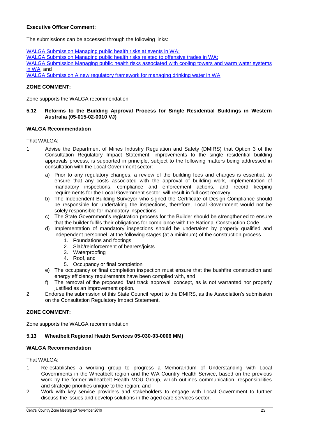#### **Executive Officer Comment:**

The submissions can be accessed through the following links:

WALGA Submission Managing public health risks at events in WA: [WALGA Submission Managing public health risks related to offensive trades in WA;](https://walga.asn.au/getattachment/Policy-Advice-and-Advocacy/People-and-Place/Health-and-Wellbeing/Public-Health/WALGA-Submission-Offensive-Trades.pdf?lang=en-AU) [WALGA Submission Managing public health risks associated with cooling towers and warm water systems](https://walga.asn.au/getattachment/Policy-Advice-and-Advocacy/People-and-Place/Health-and-Wellbeing/Public-Health/WALGA-Submission-Air-handling.pdf?lang=en-AU)  [in WA;](https://walga.asn.au/getattachment/Policy-Advice-and-Advocacy/People-and-Place/Health-and-Wellbeing/Public-Health/WALGA-Submission-Air-handling.pdf?lang=en-AU) and [WALGA Submission A new regulatory framework for managing drinking water in WA](https://walga.asn.au/getattachment/Policy-Advice-and-Advocacy/People-and-Place/Health-and-Wellbeing/Public-Health/WALGA-Submission-drinking-water.pdf?lang=en-AU)

#### **ZONE COMMENT:**

Zone supports the WALGA recommendation

#### **5.12 Reforms to the Building Approval Process for Single Residential Buildings in Western Australia (05-015-02-0010 VJ)**

#### **WALGA Recommendation**

That WALGA:

- 1. Advise the Department of Mines Industry Regulation and Safety (DMIRS) that Option 3 of the Consultation Regulatory Impact Statement, improvements to the single residential building approvals process, is supported in principle, subject to the following matters being addressed in consultation with the Local Government sector:
	- a) Prior to any regulatory changes, a review of the building fees and charges is essential, to ensure that any costs associated with the approval of building work, implementation of mandatory inspections, compliance and enforcement actions, and record keeping requirements for the Local Government sector, will result in full cost recovery
	- b) The Independent Building Surveyor who signed the Certificate of Design Compliance should be responsible for undertaking the inspections, therefore, Local Government would not be solely responsible for mandatory inspections
	- c) The State Government's registration process for the Builder should be strengthened to ensure that the builder fulfils their obligations for compliance with the National Construction Code
	- d) Implementation of mandatory inspections should be undertaken by properly qualified and independent personnel, at the following stages (at a minimum) of the construction process
		- 1. Foundations and footings
		- 2. Slab/reinforcement of bearers/joists
		- 3. Waterproofing
		- 4. Roof, and
		- 5. Occupancy or final completion
	- e) The occupancy or final completion inspection must ensure that the bushfire construction and energy efficiency requirements have been complied with, and
	- f) The removal of the proposed 'fast track approval' concept, as is not warranted nor properly justified as an improvement option.
- 2. Endorse the submission of this State Council report to the DMIRS, as the Association's submission on the Consultation Regulatory Impact Statement.

#### **ZONE COMMENT:**

Zone supports the WALGA recommendation

#### **5.13 Wheatbelt Regional Health Services 05-030-03-0006 MM)**

#### **WALGA Recommendation**

That WALGA:

- 1. Re-establishes a working group to progress a Memorandum of Understanding with Local Governments in the Wheatbelt region and the WA Country Health Service, based on the previous work by the former Wheatbelt Health MOU Group, which outlines communication, responsibilities and strategic priorities unique to the region; and
- 2. Work with key service providers and stakeholders to engage with Local Government to further discuss the issues and develop solutions in the aged care services sector.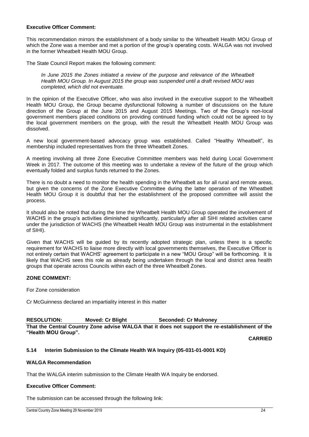#### **Executive Officer Comment:**

This recommendation mirrors the establishment of a body similar to the Wheatbelt Health MOU Group of which the Zone was a member and met a portion of the group's operating costs. WALGA was not involved in the former Wheatbelt Health MOU Group.

The State Council Report makes the following comment:

*In June 2015 the Zones initiated a review of the purpose and relevance of the Wheatbelt Health MOU Group. In August 2015 the group was suspended until a draft revised MOU was completed, which did not eventuate.*

In the opinion of the Executive Officer, who was also involved in the executive support to the Wheatbelt Health MOU Group, the Group became dysfunctional following a number of discussions on the future direction of the Group at the June 2015 and August 2015 Meetings. Two of the Group's non-local government members placed conditions on providing continued funding which could not be agreed to by the local government members on the group, with the result the Wheatbelt Health MOU Group was dissolved.

A new local government-based advocacy group was established. Called "Healthy Wheatbelt", its membership included representatives from the three Wheatbelt Zones.

A meeting involving all three Zone Executive Committee members was held during Local Government Week in 2017. The outcome of this meeting was to undertake a review of the future of the group which eventually folded and surplus funds returned to the Zones.

There is no doubt a need to monitor the health spending in the Wheatbelt as for all rural and remote areas, but given the concerns of the Zone Executive Committee during the latter operation of the Wheatbelt Health MOU Group it is doubtful that her the establishment of the proposed committee will assist the process.

It should also be noted that during the time the Wheatbelt Health MOU Group operated the involvement of WACHS in the group's activities diminished significantly, particularly after all SIHI related activities came under the jurisdiction of WACHS (the Wheatbelt Health MOU Group was instrumental in the establishment of SIHI).

Given that WACHS will be guided by its recently adopted strategic plan, unless there is a specific requirement for WACHS to liaise more directly with local governments themselves, the Executive Officer is not entirely certain that WACHS' agreement to participate in a new "MOU Group" will be forthcoming. It is likely that WACHS sees this role as already being undertaken through the local and district area health groups that operate across Councils within each of the three Wheatbelt Zones.

#### **ZONE COMMENT:**

For Zone consideration

Cr McGuinness declared an impartiality interest in this matter

**RESOLUTION: Moved: Cr Blight Seconded: Cr Mulroney That the Central Country Zone advise WALGA that it does not support the re-establishment of the "Health MOU Group".** 

**CARRIED** 

#### **5.14 Interim Submission to the Climate Health WA Inquiry (05-031-01-0001 KD)**

#### **WALGA Recommendation**

That the WALGA interim submission to the Climate Health WA Inquiry be endorsed.

#### **Executive Officer Comment:**

The submission can be accessed through the following link: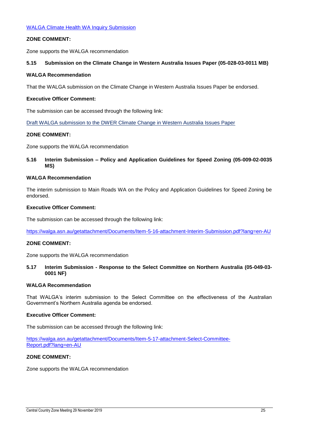#### **ZONE COMMENT:**

Zone supports the WALGA recommendation

#### **5.15 Submission on the Climate Change in Western Australia Issues Paper (05-028-03-0011 MB)**

#### **WALGA Recommendation**

That the WALGA submission on the Climate Change in Western Australia Issues Paper be endorsed.

#### **Executive Officer Comment:**

The submission can be accessed through the following link:

[Draft WALGA submission to the DWER Climate Change in Western Australia Issues Paper](https://walga.asn.au/getattachment/Policy-Advice-and-Advocacy/Environment/WALGA-Climate-Change-Issues-Paper-submission-FINAL-FOR-COMMENT.pdf?lang=en-AU)

#### **ZONE COMMENT:**

Zone supports the WALGA recommendation

#### **5.16 Interim Submission – Policy and Application Guidelines for Speed Zoning (05-009-02-0035 MS)**

#### **WALGA Recommendation**

The interim submission to Main Roads WA on the Policy and Application Guidelines for Speed Zoning be endorsed.

#### **Executive Officer Comment:**

The submission can be accessed through the following link:

<https://walga.asn.au/getattachment/Documents/Item-5-16-attachment-Interim-Submission.pdf?lang=en-AU>

#### **ZONE COMMENT:**

Zone supports the WALGA recommendation

#### **5.17 Interim Submission - Response to the Select Committee on Northern Australia (05-049-03- 0001 NF)**

#### **WALGA Recommendation**

That WALGA's interim submission to the Select Committee on the effectiveness of the Australian Government's Northern Australia agenda be endorsed.

#### **Executive Officer Comment:**

The submission can be accessed through the following link:

[https://walga.asn.au/getattachment/Documents/Item-5-17-attachment-Select-Committee-](https://walga.asn.au/getattachment/Documents/Item-5-17-attachment-Select-Committee-Report.pdf?lang=en-AU)[Report.pdf?lang=en-AU](https://walga.asn.au/getattachment/Documents/Item-5-17-attachment-Select-Committee-Report.pdf?lang=en-AU)

#### **ZONE COMMENT:**

Zone supports the WALGA recommendation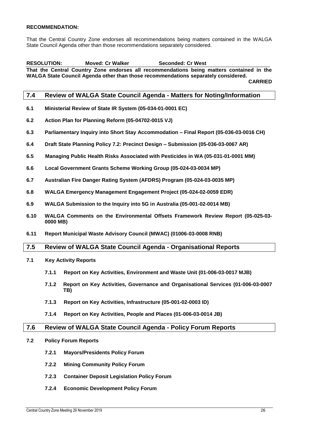#### **RECOMMENDATION:**

That the Central Country Zone endorses all recommendations being matters contained in the WALGA State Council Agenda other than those recommendations separately considered.

## **RESOLUTION: Moved: Cr Walker Seconded: Cr West**

**That the Central Country Zone endorses all recommendations being matters contained in the WALGA State Council Agenda other than those recommendations separately considered.**

**CARRIED**

#### <span id="page-26-0"></span>**7.4 Review of WALGA State Council Agenda - Matters for Noting/Information**

- **6.1 Ministerial Review of State IR System (05-034-01-0001 EC)**
- **6.2 Action Plan for Planning Reform (05-04702-0015 VJ)**
- **6.3 Parliamentary Inquiry into Short Stay Accommodation – Final Report (05-036-03-0016 CH)**
- **6.4 Draft State Planning Policy 7.2: Precinct Design – Submission (05-036-03-0067 AR)**
- **6.5 Managing Public Health Risks Associated with Pesticides in WA (05-031-01-0001 MM)**
- **6.6 Local Government Grants Scheme Working Group (05-024-03-0034 MP)**
- **6.7 Australian Fire Danger Rating System (AFDRS) Program (05-024-03-0035 MP)**
- **6.8 WALGA Emergency Management Engagement Project (05-024-02-0059 EDR)**
- **6.9 WALGA Submission to the Inquiry into 5G in Australia (05-001-02-0014 MB)**
- **6.10 WALGA Comments on the Environmental Offsets Framework Review Report (05-025-03- 0000 MB)**
- **6.11 Report Municipal Waste Advisory Council (MWAC) (01006-03-0008 RNB)**

#### <span id="page-26-1"></span>**7.5 Review of WALGA State Council Agenda - Organisational Reports**

- **7.1 Key Activity Reports**
	- **7.1.1 Report on Key Activities, Environment and Waste Unit (01-006-03-0017 MJB)**
	- **7.1.2 Report on Key Activities, Governance and Organisational Services (01-006-03-0007 TB)**
	- **7.1.3 Report on Key Activities, Infrastructure (05-001-02-0003 ID)**
	- **7.1.4 Report on Key Activities, People and Places (01-006-03-0014 JB)**

#### <span id="page-26-2"></span>**7.6 Review of WALGA State Council Agenda - Policy Forum Reports**

- **7.2 Policy Forum Reports**
	- **7.2.1 Mayors/Presidents Policy Forum**
	- **7.2.2 Mining Community Policy Forum**
	- **7.2.3 Container Deposit Legislation Policy Forum**
	- **7.2.4 Economic Development Policy Forum**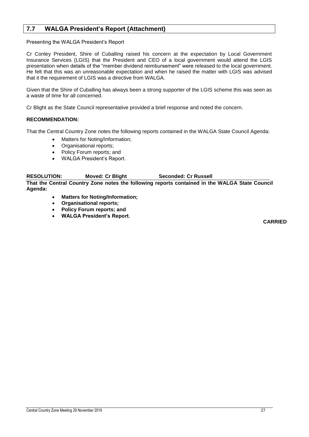### <span id="page-27-0"></span>**7.7 WALGA President's Report (Attachment)**

Presenting the WALGA President's Report

Cr Conley President, Shire of Cuballing raised his concern at the expectation by Local Government Insurance Services (LGIS) that the President and CEO of a local government would attend the LGIS presentation when details of the "member dividend reimbursement" were released to the local government. He felt that this was an unreasonable expectation and when he raised the matter with LGIS was advised that it the requirement of LGIS was a directive from WALGA.

Given that the Shire of Cuballing has always been a strong supporter of the LGIS scheme this was seen as a waste of time for all concerned.

Cr Blight as the State Council representative provided a brief response and noted the concern.

#### **RECOMMENDATION:**

That the Central Country Zone notes the following reports contained in the WALGA State Council Agenda:

- Matters for Noting/Information;
- Organisational reports;
- Policy Forum reports; and
- WALGA President's Report.

**RESOLUTION: Moved: Cr Blight Seconded: Cr Russell That the Central Country Zone notes the following reports contained in the WALGA State Council Agenda:**

- **Matters for Noting/Information;**
- **Organisational reports;**
- **Policy Forum reports; and**
- **WALGA President's Report.**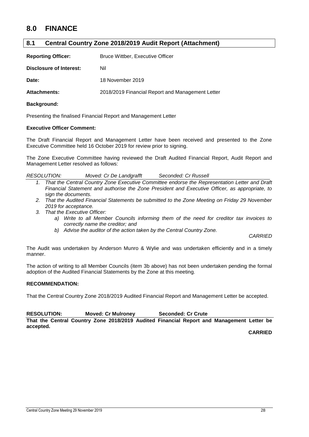## <span id="page-28-0"></span>**8.0 FINANCE**

#### <span id="page-28-1"></span>**8.1 Central Country Zone 2018/2019 Audit Report (Attachment)**

| <b>Reporting Officer:</b> | Bruce Wittber, Executive Officer                 |  |
|---------------------------|--------------------------------------------------|--|
| Disclosure of Interest:   | Nil                                              |  |
| Date:                     | 18 November 2019                                 |  |
| <b>Attachments:</b>       | 2018/2019 Financial Report and Management Letter |  |

#### **Background:**

Presenting the finalised Financial Report and Management Letter

#### **Executive Officer Comment:**

The Draft Financial Report and Management Letter have been received and presented to the Zone Executive Committee held 16 October 2019 for review prior to signing.

The Zone Executive Committee having reviewed the Draft Audited Financial Report, Audit Report and Management Letter resolved as follows:

| <b>RESOLUTION:</b> | Moved: Cr De Landgrafft | Seconded: Cr Russell |
|--------------------|-------------------------|----------------------|
|--------------------|-------------------------|----------------------|

- *1. That the Central Country Zone Executive Committee endorse the Representation Letter and Draft Financial Statement and authorise the Zone President and Executive Officer, as appropriate, to sign the documents.*
- *2. That the Audited Financial Statements be submitted to the Zone Meeting on Friday 29 November 2019 for acceptance.*
- *3. That the Executive Officer:*
	- *a) Write to all Member Councils informing them of the need for creditor tax invoices to correctly name the creditor; and*
	- *b) Advise the auditor of the action taken by the Central Country Zone.*

*CARRIED*

The Audit was undertaken by Anderson Munro & Wylie and was undertaken efficiently and in a timely manner.

The action of writing to all Member Councils (item 3b above) has not been undertaken pending the formal adoption of the Audited Financial Statements by the Zone at this meeting.

#### **RECOMMENDATION:**

That the Central Country Zone 2018/2019 Audited Financial Report and Management Letter be accepted.

**RESOLUTION: Moved: Cr Mulroney Seconded: Cr Crute That the Central Country Zone 2018/2019 Audited Financial Report and Management Letter be accepted.**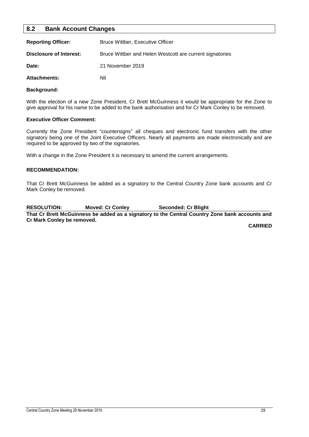#### <span id="page-29-0"></span>**8.2 Bank Account Changes**

| <b>Reporting Officer:</b> | <b>Bruce Wittber, Executive Officer</b>                  |
|---------------------------|----------------------------------------------------------|
| Disclosure of Interest:   | Bruce Wittber and Helen Westcott are current signatories |
| Date:                     | 21 November 2019                                         |
| <b>Attachments:</b>       | Nil                                                      |

#### **Background:**

With the election of a new Zone President, Cr Brett McGuinness it would be appropriate for the Zone to give approval for his name to be added to the bank authorisation and for Cr Mark Conley to be removed.

#### **Executive Officer Comment:**

Currently the Zone President "countersigns" all cheques and electronic fund transfers with the other signatory being one of the Joint Executive Officers. Nearly all payments are made electronically and are required to be approved by two of the signatories.

With a change in the Zone President it is necessary to amend the current arrangements.

#### **RECOMMENDATION:**

That Cr Brett McGuinness be added as a signatory to the Central Country Zone bank accounts and Cr Mark Conley be removed.

**RESOLUTION: Moved: Cr Conley Seconded: Cr Blight That Cr Brett McGuinness be added as a signatory to the Central Country Zone bank accounts and Cr Mark Conley be removed.**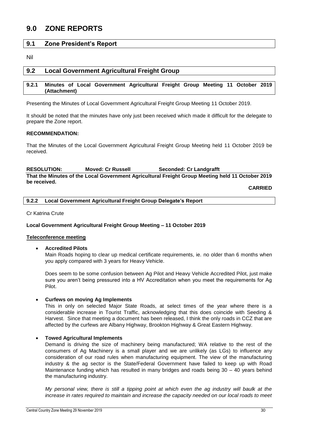## <span id="page-30-0"></span>**9.0 ZONE REPORTS**

#### <span id="page-30-1"></span>**9.1 Zone President's Report**

Nil

#### <span id="page-30-2"></span>**9.2 Local Government Agricultural Freight Group**

#### <span id="page-30-3"></span>**9.2.1 Minutes of Local Government Agricultural Freight Group Meeting 11 October 2019 (Attachment)**

Presenting the Minutes of Local Government Agricultural Freight Group Meeting 11 October 2019.

It should be noted that the minutes have only just been received which made it difficult for the delegate to prepare the Zone report.

#### **RECOMMENDATION:**

That the Minutes of the Local Government Agricultural Freight Group Meeting held 11 October 2019 be received.

#### **RESOLUTION: Moved: Cr Russell Seconded: Cr Landgrafft That the Minutes of the Local Government Agricultural Freight Group Meeting held 11 October 2019 be received.**

**CARRIED**

<span id="page-30-4"></span>**9.2.2 Local Government Agricultural Freight Group Delegate's Report**

Cr Katrina Crute

#### **Local Government Agricultural Freight Group Meeting – 11 October 2019**

#### **Teleconference meeting**

**Accredited Pilots**

Main Roads hoping to clear up medical certificate requirements, ie. no older than 6 months when you apply compared with 3 years for Heavy Vehicle.

Does seem to be some confusion between Ag Pilot and Heavy Vehicle Accredited Pilot, just make sure you aren't being pressured into a HV Accreditation when you meet the requirements for Ag Pilot.

#### **Curfews on moving Ag Implements**

This in only on selected Major State Roads, at select times of the year where there is a considerable increase in Tourist Traffic, acknowledging that this does coincide with Seeding & Harvest. Since that meeting a document has been released, I think the only roads in CCZ that are affected by the curfews are Albany Highway, Brookton Highway & Great Eastern Highway.

#### **Towed Agricultural Implements**

Demand is driving the size of machinery being manufactured; WA relative to the rest of the consumers of Ag Machinery is a small player and we are unlikely (as LGs) to influence any consideration of our road rules when manufacturing equipment. The view of the manufacturing industry & the ag sector is the State/Federal Government have failed to keep up with Road Maintenance funding which has resulted in many bridges and roads being 30 – 40 years behind the manufacturing industry.

*My personal view, there is still a tipping point at which even the ag industry will baulk at the increase in rates required to maintain and increase the capacity needed on our local roads to meet*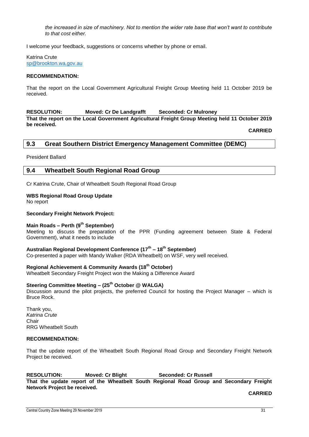*the increased in size of machinery. Not to mention the wider rate base that won't want to contribute to that cost either.*

I welcome your feedback, suggestions or concerns whether by phone or email.

Katrina Crute [sp@brookton.wa.gov.au](mailto:sp@brookton.wa.gov.au)

#### **RECOMMENDATION:**

That the report on the Local Government Agricultural Freight Group Meeting held 11 October 2019 be received.

**RESOLUTION: Moved: Cr De Landgrafft Seconded: Cr Mulroney**

**That the report on the Local Government Agricultural Freight Group Meeting held 11 October 2019 be received.**

**CARRIED**

#### <span id="page-31-0"></span>**9.3 Great Southern District Emergency Management Committee (DEMC)**

President Ballard

#### <span id="page-31-1"></span>**9.4 Wheatbelt South Regional Road Group**

Cr Katrina Crute, Chair of Wheatbelt South Regional Road Group

#### **WBS Regional Road Group Update**

No report

#### **Secondary Freight Network Project:**

#### **Main Roads – Perth (9th September)**

Meeting to discuss the preparation of the PPR (Funding agreement between State & Federal Government), what it needs to include

#### **Australian Regional Development Conference (17th – 18th September)**

Co-presented a paper with Mandy Walker (RDA Wheatbelt) on WSF, very well received.

#### **Regional Achievement & Community Awards (18th October)**

Wheatbelt Secondary Freight Project won the Making a Difference Award

#### **Steering Committee Meeting – (25th October @ WALGA)**

Discussion around the pilot projects, the preferred Council for hosting the Project Manager – which is Bruce Rock.

Thank you, *Katrina Crute* Chair RRG Wheatbelt South

#### **RECOMMENDATION:**

That the update report of the Wheatbelt South Regional Road Group and Secondary Freight Network Project be received.

#### **RESOLUTION: Moved: Cr Blight Seconded: Cr Russell**

**That the update report of the Wheatbelt South Regional Road Group and Secondary Freight Network Project be received.**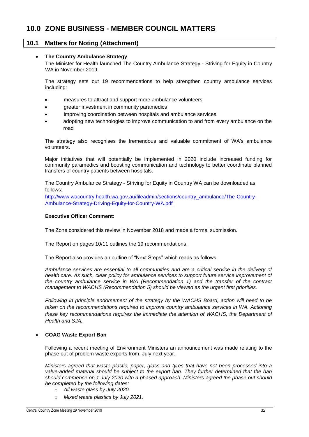#### <span id="page-32-1"></span><span id="page-32-0"></span>**10.1 Matters for Noting (Attachment)**

#### **The Country Ambulance Strategy**

The Minister for Health launched The Country Ambulance Strategy - Striving for Equity in Country WA in November 2019.

The strategy sets out 19 recommendations to help strengthen country ambulance services including:

- measures to attract and support more ambulance volunteers
- greater investment in community paramedics
- improving coordination between hospitals and ambulance services
- adopting new technologies to improve communication to and from every ambulance on the road

The strategy also recognises the tremendous and valuable commitment of WA's ambulance volunteers.

Major initiatives that will potentially be implemented in 2020 include increased funding for community paramedics and boosting communication and technology to better coordinate planned transfers of country patients between hospitals.

The Country Ambulance Strategy - Striving for Equity in Country WA can be downloaded as follows:

[http://www.wacountry.health.wa.gov.au/fileadmin/sections/country\\_ambulance/The-Country-](http://www.wacountry.health.wa.gov.au/fileadmin/sections/country_ambulance/The-Country-Ambulance-Strategy-Driving-Equity-for-Country-WA.pdf)[Ambulance-Strategy-Driving-Equity-for-Country-WA.pdf](http://www.wacountry.health.wa.gov.au/fileadmin/sections/country_ambulance/The-Country-Ambulance-Strategy-Driving-Equity-for-Country-WA.pdf)

#### **Executive Officer Comment:**

The Zone considered this review in November 2018 and made a formal submission.

The Report on pages 10/11 outlines the 19 recommendations.

The Report also provides an outline of "Next Steps" which reads as follows:

*Ambulance services are essential to all communities and are a critical service in the delivery of*  health care. As such, clear policy for ambulance services to support future service improvement of *the country ambulance service in WA (Recommendation 1) and the transfer of the contract management to WACHS (Recommendation 5) should be viewed as the urgent first priorities.* 

*Following in principle endorsement of the strategy by the WACHS Board, action will need to be taken on the recommendations required to improve country ambulance services in WA. Actioning these key recommendations requires the immediate the attention of WACHS, the Department of Health and SJA.* 

#### **COAG Waste Export Ban**

Following a recent meeting of Environment Ministers an announcement was made relating to the phase out of problem waste exports from, July next year.

*Ministers agreed that waste plastic, paper, glass and tyres that have not been processed into a value-added material should be subject to the export ban. They further determined that the ban should commence on 1 July 2020 with a phased approach. Ministers agreed the phase out should be completed by the following dates:* 

- o *All waste glass by July 2020.*
- o *Mixed waste plastics by July 2021.*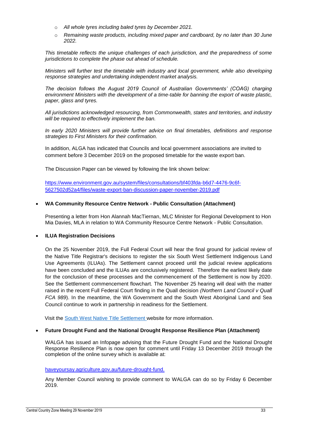- o *All whole tyres including baled tyres by December 2021.*
- o *Remaining waste products, including mixed paper and cardboard, by no later than 30 June 2022.*

*This timetable reflects the unique challenges of each jurisdiction, and the preparedness of some jurisdictions to complete the phase out ahead of schedule.* 

*Ministers will further test the timetable with industry and local government, while also developing response strategies and undertaking independent market analysis.* 

*The decision follows the August 2019 Council of Australian Governments' (COAG) charging environment Ministers with the development of a time-table for banning the export of waste plastic, paper, glass and tyres.* 

*All jurisdictions acknowledged resourcing, from Commonwealth, states and territories, and industry will be required to effectively implement the ban.*

*In early 2020 Ministers will provide further advice on final timetables, definitions and response strategies to First Ministers for their confirmation.*

In addition, ALGA has indicated that Councils and local government associations are invited to comment before 3 December 2019 on the proposed timetable for the waste export ban.

The Discussion Paper can be viewed by following the link shown below:

[https://www.environment.gov.au/system/files/consultations/bf403fda-b6d7-4476-9c6f-](https://www.environment.gov.au/system/files/consultations/bf403fda-b6d7-4476-9c6f-5627502d52a4/files/waste-export-ban-discussion-paper-november-2019.pdf)[5627502d52a4/files/waste-export-ban-discussion-paper-november-2019.pdf](https://www.environment.gov.au/system/files/consultations/bf403fda-b6d7-4476-9c6f-5627502d52a4/files/waste-export-ban-discussion-paper-november-2019.pdf)

#### **WA Community Resource Centre Network - Public Consultation (Attachment)**

Presenting a letter from Hon Alannah MacTiernan, MLC Minister for Regional Development to Hon Mia Davies, MLA in relation to WA Community Resource Centre Network - Public Consultation.

#### **ILUA Registration Decisions**

On the 25 November 2019, the Full Federal Court will hear the final ground for judicial review of the Native Title Registrar's decisions to register the six South West Settlement Indigenous Land Use Agreements (ILUAs). The Settlement cannot proceed until the judicial review applications have been concluded and the ILUAs are conclusively registered. Therefore the earliest likely date for the conclusion of these processes and the commencement of the Settlement is now by 2020. See the Settlement commencement flowchart. The November 25 hearing will deal with the matter raised in the recent Full Federal Court finding in the Quall decision *(Northern Land Council v Quall FCA 989*). In the meantime, the WA Government and the South West Aboriginal Land and Sea Council continue to work in partnership in readiness for the Settlement.

Visit the [South West Native Title Settlement w](https://www.dpc.wa.gov.au/swnts/Pages/default.aspx)ebsite for more information.

#### **Future Drought Fund and the National Drought Response Resilience Plan (Attachment)**

WALGA has issued an Infopage advising that the Future Drought Fund and the National Drought Response Resilience Plan is now open for comment until Friday 13 December 2019 through the completion of the online survey which is available at:

#### [haveyoursay.agriculture.gov.au/future-drought-fund.](https://haveyoursay.agriculture.gov.au/future-drought-fund)

Any Member Council wishing to provide comment to WALGA can do so by Friday 6 December 2019.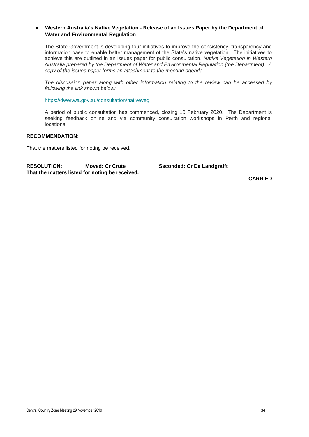#### **Western Australia's Native Vegetation - Release of an Issues Paper by the Department of Water and Environmental Regulation**

The State Government is developing four initiatives to improve the consistency, transparency and information base to enable better management of the State's native vegetation. The initiatives to achieve this are outlined in an issues paper for public consultation, *Native Vegetation in Western Australia prepared by the Department of Water and Environmental Regulation (the Department). A copy of the issues paper forms an attachment to the meeting agenda.*

*The discussion paper along with other information relating to the review can be accessed by following the link shown below:*

[https://dwer.wa.gov.au/consultation/nativeveg](https://der.us7.list-manage.com/track/click?u=eae3577746e1efbdfdfd804fb&id=7b443e0d07&e=8f32df8240)

A period of public consultation has commenced, closing 10 February 2020. The Department is seeking feedback online and via community consultation workshops in Perth and regional locations.

#### **RECOMMENDATION:**

That the matters listed for noting be received.

| <b>RESOLUTION:</b>                              | <b>Moved: Cr Crute</b> | <b>Seconded: Cr De Landgrafft</b> |
|-------------------------------------------------|------------------------|-----------------------------------|
| That the matters listed for noting be received. |                        |                                   |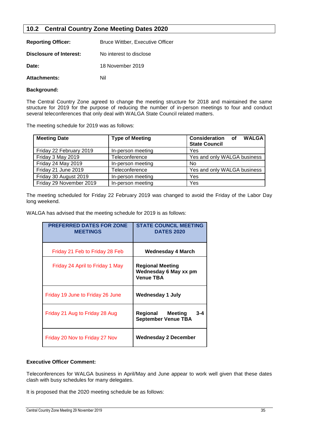#### <span id="page-35-0"></span>**10.2 Central Country Zone Meeting Dates 2020**

| <b>Reporting Officer:</b> | <b>Bruce Wittber, Executive Officer</b> |
|---------------------------|-----------------------------------------|
| Disclosure of Interest:   | No interest to disclose                 |
| Date:                     | 18 November 2019                        |
| <b>Attachments:</b>       | Nil                                     |

#### **Background:**

The Central Country Zone agreed to change the meeting structure for 2018 and maintained the same structure for 2019 for the purpose of reducing the number of in-person meetings to four and conduct several teleconferences that only deal with WALGA State Council related matters.

The meeting schedule for 2019 was as follows:

| <b>Meeting Date</b>     | <b>Type of Meeting</b> | <b>Consideration</b> of<br><b>WALGA</b><br><b>State Council</b> |
|-------------------------|------------------------|-----------------------------------------------------------------|
| Friday 22 February 2019 | In-person meeting      | Yes                                                             |
| Friday 3 May 2019       | Teleconference         | Yes and only WALGA business                                     |
| Friday 24 May 2019      | In-person meeting      | No                                                              |
| Friday 21 June 2019     | Teleconference         | Yes and only WALGA business                                     |
| Friday 30 August 2019   | In-person meeting      | Yes                                                             |
| Friday 29 November 2019 | In-person meeting      | Yes                                                             |

The meeting scheduled for Friday 22 February 2019 was changed to avoid the Friday of the Labor Day long weekend.

WALGA has advised that the meeting schedule for 2019 is as follows:

| <b>PREFERRED DATES FOR ZONE</b><br><b>MEETINGS</b> | <b>STATE COUNCIL MEETING</b><br><b>DATES 2020</b>                    |
|----------------------------------------------------|----------------------------------------------------------------------|
| Friday 21 Feb to Friday 28 Feb                     | Wednesday 4 March                                                    |
| Friday 24 April to Friday 1 May                    | <b>Regional Meeting</b><br>Wednesday 6 May xx pm<br><b>Venue TBA</b> |
| Friday 19 June to Friday 26 June                   | <b>Wednesday 1 July</b>                                              |
| Friday 21 Aug to Friday 28 Aug                     | <b>Meeting</b><br>Regional<br>3-4<br><b>September Venue TBA</b>      |
| Friday 20 Nov to Friday 27 Nov                     | Wednesday 2 December                                                 |

#### **Executive Officer Comment:**

Teleconferences for WALGA business in April/May and June appear to work well given that these dates clash with busy schedules for many delegates.

It is proposed that the 2020 meeting schedule be as follows: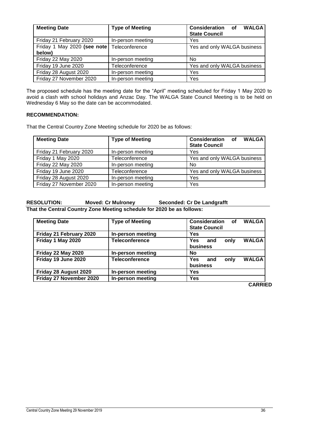| <b>Meeting Date</b>                   | <b>Type of Meeting</b> | <b>Consideration</b> of<br><b>WALGA</b><br><b>State Council</b> |
|---------------------------------------|------------------------|-----------------------------------------------------------------|
| Friday 21 February 2020               | In-person meeting      | Yes                                                             |
| Friday 1 May 2020 (see note<br>below) | Teleconference         | Yes and only WALGA business                                     |
| Friday 22 May 2020                    | In-person meeting      | N <sub>0</sub>                                                  |
| Friday 19 June 2020                   | Teleconference         | Yes and only WALGA business                                     |
| Friday 28 August 2020                 | In-person meeting      | Yes                                                             |
| Friday 27 November 2020               | In-person meeting      | Yes                                                             |

The proposed schedule has the meeting date for the "April" meeting scheduled for Friday 1 May 2020 to avoid a clash with school holidays and Anzac Day. The WALGA State Council Meeting is to be held on Wednesday 6 May so the date can be accommodated.

#### **RECOMMENDATION:**

That the Central Country Zone Meeting schedule for 2020 be as follows:

| <b>Meeting Date</b>     | <b>Type of Meeting</b> | Consideration of<br><b>WALGA</b><br><b>State Council</b> |
|-------------------------|------------------------|----------------------------------------------------------|
| Friday 21 February 2020 | In-person meeting      | Yes                                                      |
| Friday 1 May 2020       | Teleconference         | Yes and only WALGA business                              |
| Friday 22 May 2020      | In-person meeting      | No                                                       |
| Friday 19 June 2020     | Teleconference         | Yes and only WALGA business                              |
| Friday 28 August 2020   | In-person meeting      | Yes                                                      |
| Friday 27 November 2020 | In-person meeting      | Yes                                                      |

**RESOLUTION: Moved: Cr Mulroney Seconded: Cr De Landgrafft That the Central Country Zone Meeting schedule for 2020 be as follows:** 

| <b>Meeting Date</b>       | <b>Type of Meeting</b> | Consideration<br><b>WALGA</b><br>of<br><b>State Council</b> |
|---------------------------|------------------------|-------------------------------------------------------------|
| Friday 21 February 2020   | In-person meeting      | Yes                                                         |
| Friday 1 May 2020         | <b>Teleconference</b>  | <b>WALGA</b><br>Yes<br>only<br>and<br>business              |
| <b>Friday 22 May 2020</b> | In-person meeting      | No                                                          |
| Friday 19 June 2020       | <b>Teleconference</b>  | <b>WALGA</b><br>only<br>Yes<br>and<br>business              |
| Friday 28 August 2020     | In-person meeting      | Yes                                                         |
| Friday 27 November 2020   | In-person meeting      | Yes                                                         |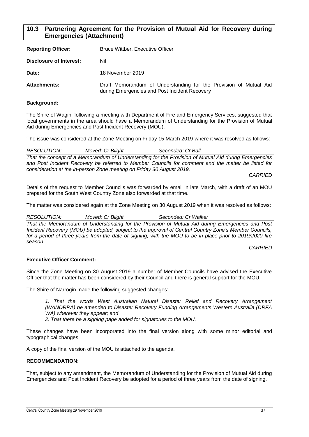#### <span id="page-37-0"></span>**10.3 Partnering Agreement for the Provision of Mutual Aid for Recovery during Emergencies (Attachment)**

| <b>Reporting Officer:</b> | Bruce Wittber, Executive Officer                                                                                   |  |
|---------------------------|--------------------------------------------------------------------------------------------------------------------|--|
| Disclosure of Interest:   | Nil                                                                                                                |  |
| Date:                     | 18 November 2019                                                                                                   |  |
| <b>Attachments:</b>       | Draft Memorandum of Understanding for the Provision of Mutual Aid<br>during Emergencies and Post Incident Recovery |  |

#### **Background:**

The Shire of Wagin, following a meeting with Department of Fire and Emergency Services, suggested that local governments in the area should have a Memorandum of Understanding for the Provision of Mutual Aid during Emergencies and Post Incident Recovery (MOU).

The issue was considered at the Zone Meeting on Friday 15 March 2019 where it was resolved as follows:

*RESOLUTION: Moved: Cr Blight Seconded: Cr Ball That the concept of a Memorandum of Understanding for the Provision of Mutual Aid during Emergencies and Post Incident Recovery be referred to Member Councils for comment and the matter be listed for consideration at the in-person Zone meeting on Friday 30 August 2019.*

*CARRIED*

Details of the request to Member Councils was forwarded by email in late March, with a draft of an MOU prepared for the South West Country Zone also forwarded at that time.

The matter was considered again at the Zone Meeting on 30 August 2019 when it was resolved as follows:

*RESOLUTION: Moved: Cr Blight Seconded: Cr Walker*

*That the Memorandum of Understanding for the Provision of Mutual Aid during Emergencies and Post Incident Recovery (MOU) be adopted, subject to the approval of Central Country Zone's Member Councils,*  for a period of three years from the date of signing, with the MOU to be in place prior to 2019/2020 fire *season.*

*CARRIED*

#### **Executive Officer Comment:**

Since the Zone Meeting on 30 August 2019 a number of Member Councils have advised the Executive Officer that the matter has been considered by their Council and there is general support for the MOU.

The Shire of Narrogin made the following suggested changes:

*1. That the words West Australian Natural Disaster Relief and Recovery Arrangement (WANDRRA) be amended to Disaster Recovery Funding Arrangements Western Australia (DRFA WA) wherever they appear; and*

*2. That there be a signing page added for signatories to the MOU.*

These changes have been incorporated into the final version along with some minor editorial and typographical changes.

A copy of the final version of the MOU is attached to the agenda.

#### **RECOMMENDATION:**

That, subject to any amendment, the Memorandum of Understanding for the Provision of Mutual Aid during Emergencies and Post Incident Recovery be adopted for a period of three years from the date of signing.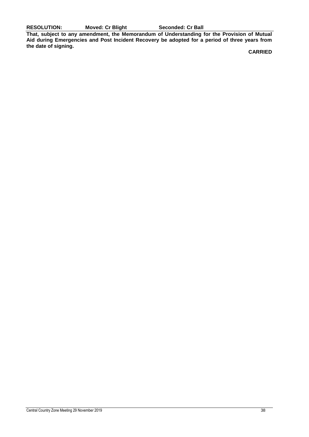**RESOLUTION: Moved: Cr Blight Seconded: Cr Ball**

**That, subject to any amendment, the Memorandum of Understanding for the Provision of Mutual Aid during Emergencies and Post Incident Recovery be adopted for a period of three years from the date of signing.**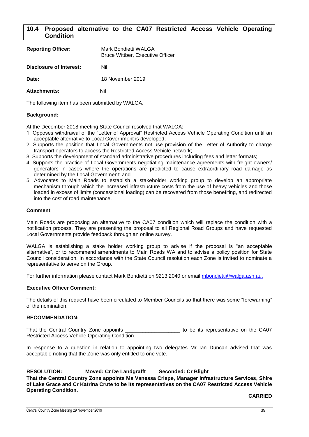#### <span id="page-39-0"></span>**10.4 Proposed alternative to the CA07 Restricted Access Vehicle Operating Condition**

| <b>Reporting Officer:</b> | Mark Bondietti WALGA<br><b>Bruce Wittber, Executive Officer</b> |
|---------------------------|-----------------------------------------------------------------|
| Disclosure of Interest:   | Nil                                                             |
| Date:                     | 18 November 2019                                                |
| <b>Attachments:</b>       | Nil                                                             |

The following item has been submitted by WALGA.

#### **Background:**

At the December 2018 meeting State Council resolved that WALGA:

- 1. Opposes withdrawal of the "Letter of Approval" Restricted Access Vehicle Operating Condition until an acceptable alternative to Local Government is developed;
- 2. Supports the position that Local Governments not use provision of the Letter of Authority to charge transport operators to access the Restricted Access Vehicle network;
- 3. Supports the development of standard administrative procedures including fees and letter formats;
- 4. Supports the practice of Local Governments negotiating maintenance agreements with freight owners/ generators in cases where the operations are predicted to cause extraordinary road damage as determined by the Local Government; and
- 5. Advocates to Main Roads to establish a stakeholder working group to develop an appropriate mechanism through which the increased infrastructure costs from the use of heavy vehicles and those loaded in excess of limits (concessional loading) can be recovered from those benefiting, and redirected into the cost of road maintenance.

#### **Comment**

Main Roads are proposing an alternative to the CA07 condition which will replace the condition with a notification process. They are presenting the proposal to all Regional Road Groups and have requested Local Governments provide feedback through an online survey.

WALGA is establishing a stake holder working group to advise if the proposal is "an acceptable alternative", or to recommend amendments to Main Roads WA and to advise a policy position for State Council consideration. In accordance with the State Council resolution each Zone is invited to nominate a representative to serve on the Group.

For further information please contact Mark Bondietti on 9213 2040 or email [mbondietti@walga.asn.au.](mailto:mbondietti@walga.asn.au)

#### **Executive Officer Comment:**

The details of this request have been circulated to Member Councils so that there was some "forewarning" of the nomination.

#### **RECOMMENDATION:**

That the Central Country Zone appoints \_\_\_\_\_\_\_\_\_\_\_\_\_\_\_\_\_\_\_\_\_\_ to be its representative on the CA07 Restricted Access Vehicle Operating Condition.

In response to a question in relation to appointing two delegates Mr Ian Duncan advised that was acceptable noting that the Zone was only entitled to one vote.

#### **RESOLUTION: Moved: Cr De Landgrafft Seconded: Cr Blight**

**That the Central Country Zone appoints Ms Vanessa Crispe, Manager Infrastructure Services, Shire of Lake Grace and Cr Katrina Crute to be its representatives on the CA07 Restricted Access Vehicle Operating Condition.**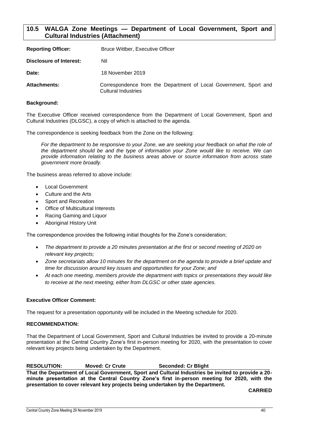#### <span id="page-40-0"></span>**10.5 WALGA Zone Meetings — Department of Local Government, Sport and Cultural Industries (Attachment)**

| <b>Reporting Officer:</b> | <b>Bruce Wittber, Executive Officer</b>                                                         |
|---------------------------|-------------------------------------------------------------------------------------------------|
| Disclosure of Interest:   | Nil                                                                                             |
| Date:                     | 18 November 2019                                                                                |
| <b>Attachments:</b>       | Correspondence from the Department of Local Government, Sport and<br><b>Cultural Industries</b> |

#### **Background:**

The Executive Officer received correspondence from the Department of Local Government, Sport and Cultural Industries (DLGSC), a copy of which is attached to the agenda.

The correspondence is seeking feedback from the Zone on the following:

For the department to be responsive to your Zone, we are seeking your feedback on what the role of *the department should be and the type of information your Zone would like to receive. We can provide information relating to the business areas above or source information from across state government more broadly.*

The business areas referred to above include:

- Local Government
- Culture and the Arts
- Sport and Recreation
- Office of Multicultural Interests
- Racing Gaming and Liquor
- Aboriginal History Unit

The correspondence provides the following initial thoughts for the Zone's consideration;

- *The department to provide a 20 minutes presentation at the first or second meeting of 2020 on relevant key projects;*
- *Zone secretariats allow 10 minutes for the department on the agenda to provide a brief update and time for discussion around key issues and opportunities for your Zone; and*
- *At each one meeting, members provide the department with topics or presentations they would like to receive at the next meeting, either from DLGSC or other state agencies.*

#### **Executive Officer Comment:**

The request for a presentation opportunity will be included in the Meeting schedule for 2020.

#### **RECOMMENDATION:**

That the Department of Local Government, Sport and Cultural Industries be invited to provide a 20-minute presentation at the Central Country Zone's first in-person meeting for 2020, with the presentation to cover relevant key projects being undertaken by the Department.

**RESOLUTION: Moved: Cr Crute Seconded: Cr Blight That the Department of Local Government, Sport and Cultural Industries be invited to provide a 20 minute presentation at the Central Country Zone's first in-person meeting for 2020, with the presentation to cover relevant key projects being undertaken by the Department.**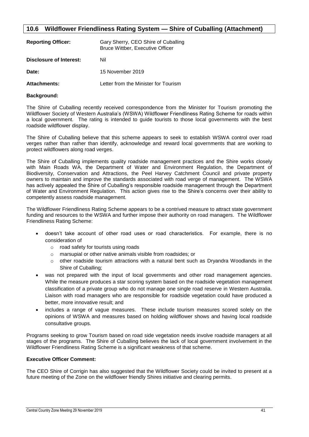### <span id="page-41-0"></span>**10.6 Wildflower Friendliness Rating System — Shire of Cuballing (Attachment)**

| <b>Reporting Officer:</b> | Gary Sherry, CEO Shire of Cuballing<br><b>Bruce Wittber, Executive Officer</b> |
|---------------------------|--------------------------------------------------------------------------------|
| Disclosure of Interest:   | Nil                                                                            |
| Date:                     | 15 November 2019                                                               |
| <b>Attachments:</b>       | Letter from the Minister for Tourism                                           |

#### **Background:**

The Shire of Cuballing recently received correspondence from the Minister for Tourism promoting the Wildflower Society of Western Australia's (WSWA) Wildflower Friendliness Rating Scheme for roads within a local government. The rating is intended to guide tourists to those local governments with the best roadside wildflower display.

The Shire of Cuballing believe that this scheme appears to seek to establish WSWA control over road verges rather than rather than identify, acknowledge and reward local governments that are working to protect wildflowers along road verges.

The Shire of Cuballing implements quality roadside management practices and the Shire works closely with Main Roads WA, the Department of Water and Environment Regulation, the Department of Biodiversity, Conservation and Attractions, the Peel Harvey Catchment Council and private property owners to maintain and improve the standards associated with road verge of management. The WSWA has actively appealed the Shire of Cuballing's responsible roadside management through the Department of Water and Environment Regulation. This action gives rise to the Shire's concerns over their ability to competently assess roadside management.

The Wildflower Friendliness Rating Scheme appears to be a contrived measure to attract state government funding and resources to the WSWA and further impose their authority on road managers. The Wildflower Friendliness Rating Scheme:

- doesn't take account of other road uses or road characteristics. For example, there is no consideration of
	- o road safety for tourists using roads
	- o marsupial or other native animals visible from roadsides; or
	- $\circ$  other roadside tourism attractions with a natural bent such as Dryandra Woodlands in the Shire of Cuballing;
- was not prepared with the input of local governments and other road management agencies. While the measure produces a star scoring system based on the roadside vegetation management classification of a private group who do not manage one single road reserve in Western Australia. Liaison with road managers who are responsible for roadside vegetation could have produced a better, more innovative result; and
- includes a range of vague measures. These include tourism measures scored solely on the opinions of WSWA and measures based on holding wildflower shows and having local roadside consultative groups.

Programs seeking to grow Tourism based on road side vegetation needs involve roadside managers at all stages of the programs. The Shire of Cuballing believes the lack of local government involvement in the Wildflower Friendliness Rating Scheme is a significant weakness of that scheme.

#### **Executive Officer Comment:**

The CEO Shire of Corrigin has also suggested that the Wildflower Society could be invited to present at a future meeting of the Zone on the wildflower friendly Shires initiative and clearing permits.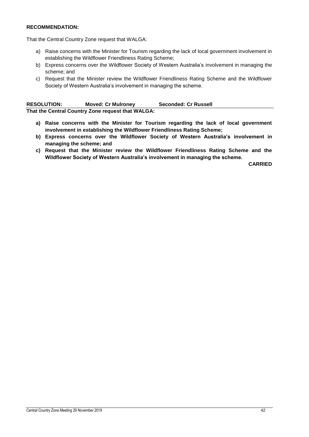#### **RECOMMENDATION:**

That the Central Country Zone request that WALGA:

- a) Raise concerns with the Minister for Tourism regarding the lack of local government involvement in establishing the Wildflower Friendliness Rating Scheme;
- b) Express concerns over the Wildflower Society of Western Australia's involvement in managing the scheme; and
- c) Request that the Minister review the Wildflower Friendliness Rating Scheme and the Wildflower Society of Western Australia's involvement in managing the scheme.

| <b>RESOLUTION:</b>                                | <b>Moved: Cr Mulroney</b> | <b>Seconded: Cr Russell</b> |
|---------------------------------------------------|---------------------------|-----------------------------|
| That the Central Country Zone request that WALGA: |                           |                             |

- **a) Raise concerns with the Minister for Tourism regarding the lack of local government involvement in establishing the Wildflower Friendliness Rating Scheme;**
- **b) Express concerns over the Wildflower Society of Western Australia's involvement in managing the scheme; and**
- **c) Request that the Minister review the Wildflower Friendliness Rating Scheme and the Wildflower Society of Western Australia's involvement in managing the scheme.**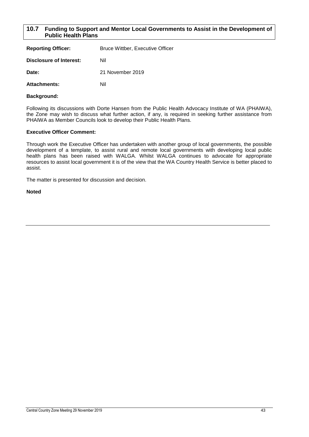#### <span id="page-43-0"></span>**10.7 Funding to Support and Mentor Local Governments to Assist in the Development of Public Health Plans**

| <b>Reporting Officer:</b>      | <b>Bruce Wittber, Executive Officer</b> |
|--------------------------------|-----------------------------------------|
| <b>Disclosure of Interest:</b> | Nil                                     |
| Date:                          | 21 November 2019                        |
| <b>Attachments:</b>            | Nil                                     |

#### **Background:**

Following its discussions with Dorte Hansen from the Public Health Advocacy Institute of WA (PHAIWA), the Zone may wish to discuss what further action, if any, is required in seeking further assistance from PHAIWA as Member Councils look to develop their Public Health Plans.

#### **Executive Officer Comment:**

Through work the Executive Officer has undertaken with another group of local governments, the possible development of a template, to assist rural and remote local governments with developing local public health plans has been raised with WALGA. Whilst WALGA continues to advocate for appropriate resources to assist local government it is of the view that the WA Country Health Service is better placed to assist.

The matter is presented for discussion and decision.

**Noted**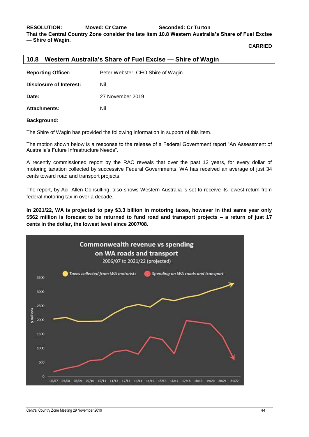**RESOLUTION: Moved: Cr Carne Seconded: Cr Turton**

**That the Central Country Zone consider the late item 10.8 Western Australia's Share of Fuel Excise — Shire of Wagin.**

**CARRIED**

#### <span id="page-44-0"></span>**10.8 Western Australia's Share of Fuel Excise — Shire of Wagin**

| <b>Reporting Officer:</b> | Peter Webster, CEO Shire of Wagin |
|---------------------------|-----------------------------------|
| Disclosure of Interest:   | Nil                               |
| Date:                     | 27 November 2019                  |
| <b>Attachments:</b>       | Nil                               |

#### **Background:**

The Shire of Wagin has provided the following information in support of this item.

The motion shown below is a response to the release of a Federal Government report "An Assessment of Australia's Future Infrastructure Needs".

A recently commissioned report by the RAC reveals that over the past 12 years, for every dollar of motoring taxation collected by successive Federal Governments, WA has received an average of just 34 cents toward road and transport projects.

The report, by Acil Allen Consulting, also shows Western Australia is set to receive its lowest return from federal motoring tax in over a decade.

**In 2021/22, WA is projected to pay \$3.3 billion in motoring taxes, however in that same year only \$562 million is forecast to be returned to fund road and transport projects – a return of just 17 cents in the dollar, the lowest level since 2007/08.**

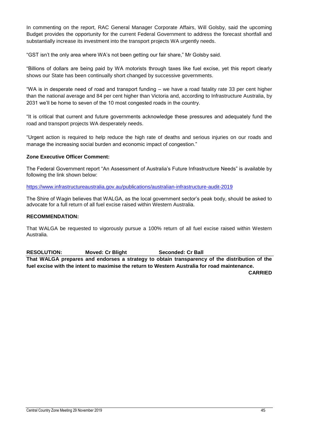In commenting on the report, RAC General Manager Corporate Affairs, Will Golsby, said the upcoming Budget provides the opportunity for the current Federal Government to address the forecast shortfall and substantially increase its investment into the transport projects WA urgently needs.

"GST isn't the only area where WA's not been getting our fair share," Mr Golsby said.

"Billions of dollars are being paid by WA motorists through taxes like fuel excise, yet this report clearly shows our State has been continually short changed by successive governments.

"WA is in desperate need of road and transport funding – we have a road fatality rate 33 per cent higher than the national average and 84 per cent higher than Victoria and, according to Infrastructure Australia, by 2031 we'll be home to seven of the 10 most congested roads in the country.

"It is critical that current and future governments acknowledge these pressures and adequately fund the road and transport projects WA desperately needs.

"Urgent action is required to help reduce the high rate of deaths and serious injuries on our roads and manage the increasing social burden and economic impact of congestion."

#### **Zone Executive Officer Comment:**

The Federal Government report "An Assessment of Australia's Future Infrastructure Needs" is available by following the link shown below:

<https://www.infrastructureaustralia.gov.au/publications/australian-infrastructure-audit-2019>

The Shire of Wagin believes that WALGA, as the local government sector's peak body, should be asked to advocate for a full return of all fuel excise raised within Western Australia.

#### **RECOMMENDATION:**

That WALGA be requested to vigorously pursue a 100% return of all fuel excise raised within Western Australia.

**RESOLUTION: Moved: Cr Blight Seconded: Cr Ball**

**That WALGA prepares and endorses a strategy to obtain transparency of the distribution of the fuel excise with the intent to maximise the return to Western Australia for road maintenance.**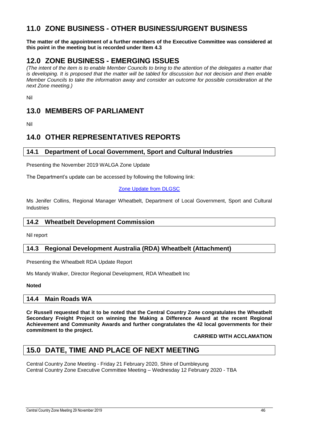## <span id="page-46-0"></span>**11.0 ZONE BUSINESS - OTHER BUSINESS/URGENT BUSINESS**

**The matter of the appointment of a further members of the Executive Committee was considered at this point in the meeting but is recorded under Item 4.3**

## <span id="page-46-1"></span>**12.0 ZONE BUSINESS - EMERGING ISSUES**

*(The intent of the item is to enable Member Councils to bring to the attention of the delegates a matter that is developing. It is proposed that the matter will be tabled for discussion but not decision and then enable Member Councils to take the information away and consider an outcome for possible consideration at the next Zone meeting.)*

Nil

## <span id="page-46-2"></span>**13.0 MEMBERS OF PARLIAMENT**

Nil

## <span id="page-46-3"></span>**14.0 OTHER REPRESENTATIVES REPORTS**

#### <span id="page-46-4"></span>**14.1 Department of Local Government, Sport and Cultural Industries**

Presenting the November 2019 WALGA Zone Update

The Department's update can be accessed by following the following link:

#### [Zone Update from DLGSC](https://aus01.safelinks.protection.outlook.com/?url=https%3A%2F%2Fus7.campaign-archive.com%2F%3Fu%3D6b3a3f7b848e66bfa0f6fc583%26id%3D4837dfeee1&data=02%7C01%7Cliz.toohey%40dlgsc.wa.gov.au%7C38c288179a634161369308d76bf8b3f5%7Cc1ae0ae2d5044287b6f47eafd6648d22%7C1%7C0%7C637096588216167272&sdata=ZbFAosgULCDMU%2FF8AQmCdPzYZn24FRfxxmDtIRwUG3E%3D&reserved=0)

Ms Jenifer Collins, Regional Manager Wheatbelt, Department of Local Government, Sport and Cultural Industries

#### <span id="page-46-5"></span>**14.2 Wheatbelt Development Commission**

Nil report

#### <span id="page-46-6"></span>**14.3 Regional Development Australia (RDA) Wheatbelt (Attachment)**

Presenting the Wheatbelt RDA Update Report

Ms Mandy Walker, Director Regional Development, RDA Wheatbelt Inc

#### **Noted**

#### <span id="page-46-7"></span>**14.4 Main Roads WA**

**Cr Russell requested that it to be noted that the Central Country Zone congratulates the Wheatbelt Secondary Freight Project on winning the Making a Difference Award at the recent Regional Achievement and Community Awards and further congratulates the 42 local governments for their commitment to the project.**

#### **CARRIED WITH ACCLAMATION**

## <span id="page-46-8"></span>**15.0 DATE, TIME AND PLACE OF NEXT MEETING**

Central Country Zone Meeting - Friday 21 February 2020, Shire of Dumbleyung Central Country Zone Executive Committee Meeting – Wednesday 12 February 2020 - TBA